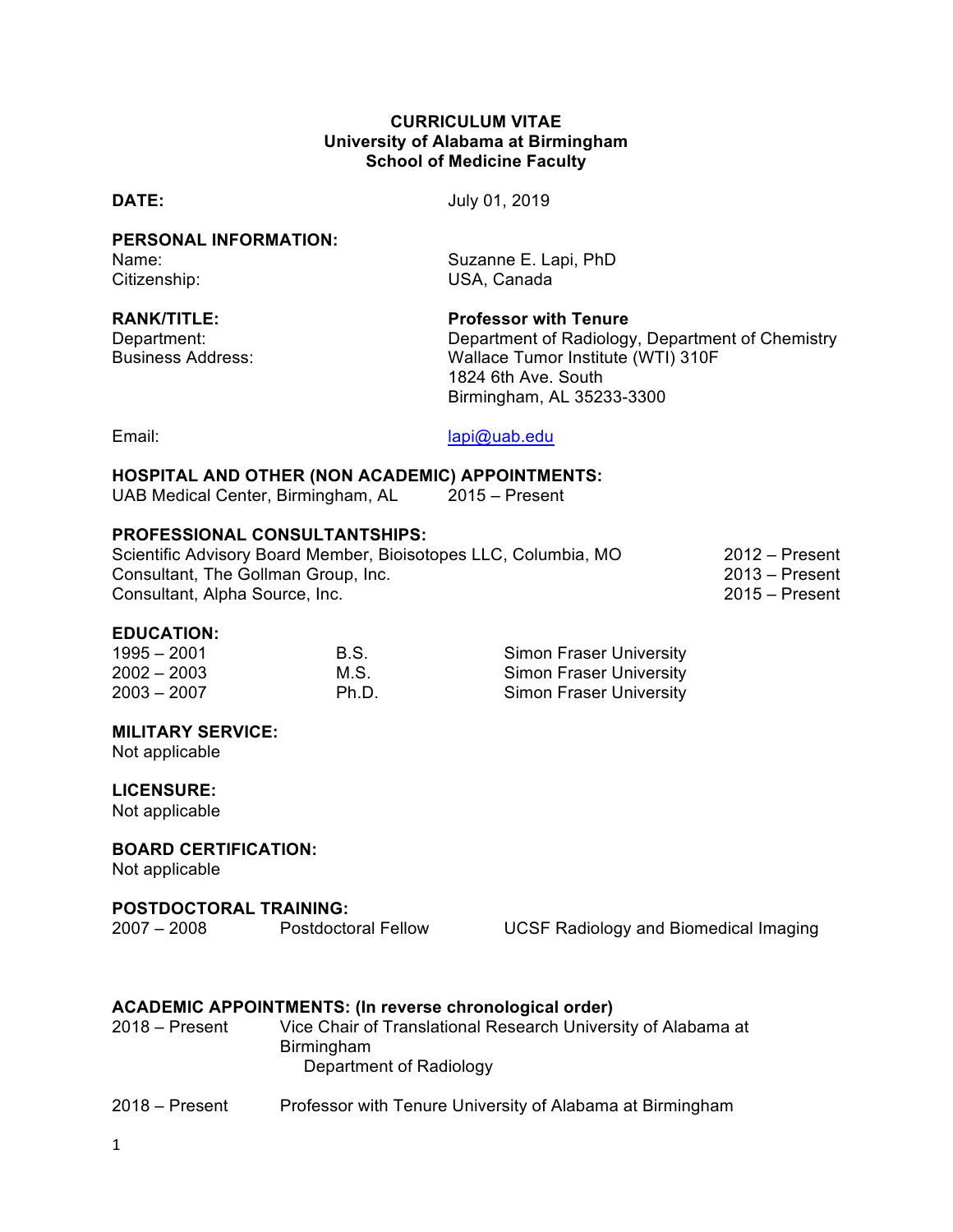#### **CURRICULUM VITAE University of Alabama at Birmingham School of Medicine Faculty**

|  | ń |
|--|---|
|  |   |

**DATE:** July 01, 2019

**PERSONAL INFORMATION:** Name: Suzanne E. Lapi, PhD Citizenship: USA, Canada

| <b>RANK/TITLE:</b> |  |
|--------------------|--|
| Department:        |  |
|                    |  |

**Professor with Tenure** 

Department of Radiology, Department of Chemistry Business Address: Wallace Tumor Institute (WTI) 310F 1824 6th Ave. South Birmingham, AL 35233-3300

Email: lapi@uab.edu

#### **HOSPITAL AND OTHER (NON ACADEMIC) APPOINTMENTS:**

| UAB Medical Center, Birmingham, AL | $2015 -$ Present |
|------------------------------------|------------------|
|------------------------------------|------------------|

#### **PROFESSIONAL CONSULTANTSHIPS:**

| Scientific Advisory Board Member, Bioisotopes LLC, Columbia, MO | $2012 -$ Present |
|-----------------------------------------------------------------|------------------|
| Consultant, The Gollman Group, Inc.                             | $2013 -$ Present |
| Consultant, Alpha Source, Inc.                                  | $2015 -$ Present |

#### **EDUCATION:**

| $1995 - 2001$ | B.S.  | <b>Simon Fraser University</b> |
|---------------|-------|--------------------------------|
| $2002 - 2003$ | M.S.  | <b>Simon Fraser University</b> |
| $2003 - 2007$ | Ph.D. | <b>Simon Fraser University</b> |

#### **MILITARY SERVICE:**

Not applicable

#### **LICENSURE:**

Not applicable

#### **BOARD CERTIFICATION:**

Not applicable

# **POSTDOCTORAL TRAINING:**

Postdoctoral Fellow UCSF Radiology and Biomedical Imaging

#### **ACADEMIC APPOINTMENTS: (In reverse chronological order)**

| $2018 -$ Present | Vice Chair of Translational Research University of Alabama at |
|------------------|---------------------------------------------------------------|
|                  | <b>Birmingham</b>                                             |
|                  | Department of Radiology                                       |

2018 – Present Professor with Tenure University of Alabama at Birmingham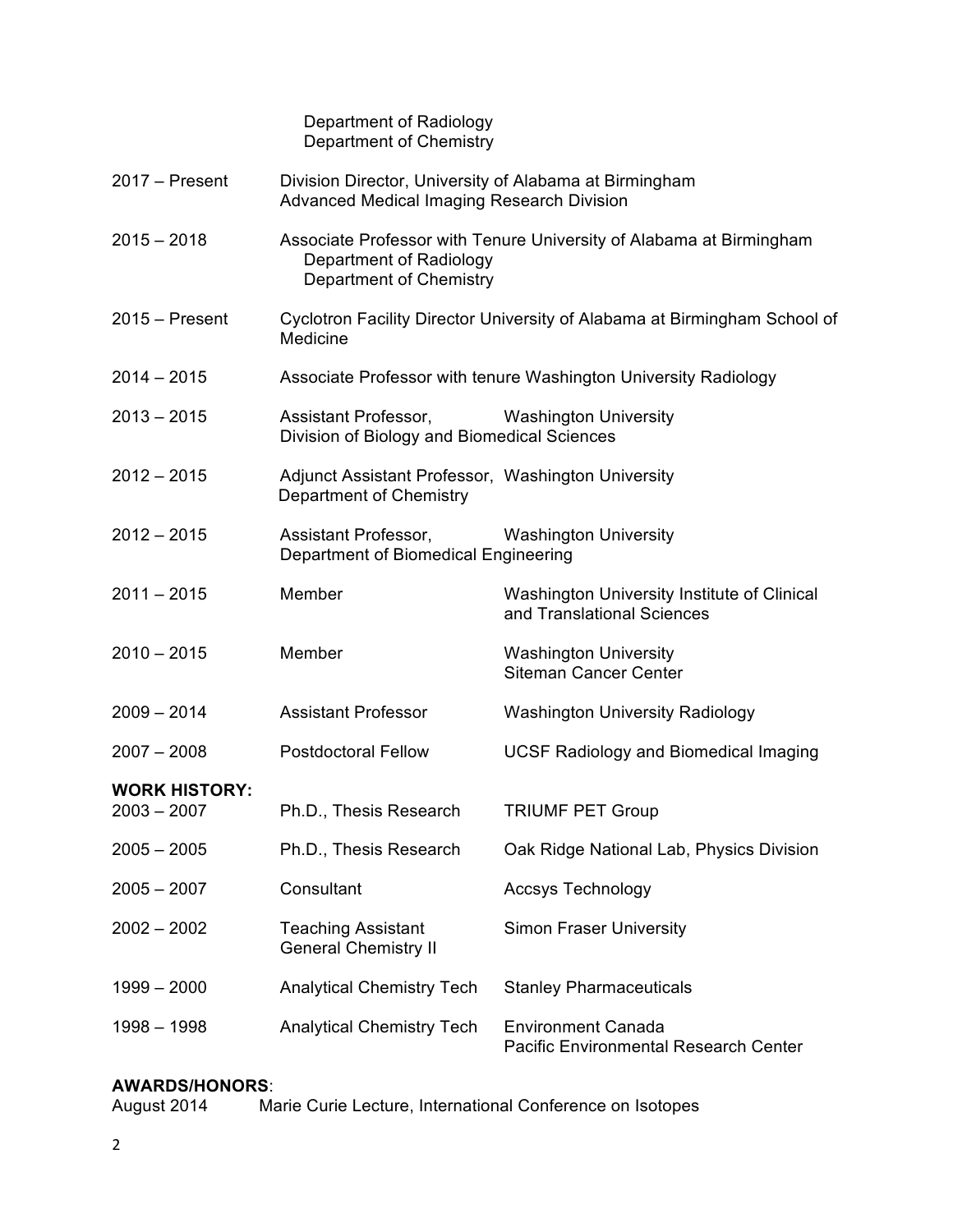Department of Radiology Department of Chemistry

| $2017 -$ Present                      | Division Director, University of Alabama at Birmingham<br><b>Advanced Medical Imaging Research Division</b>               |                                                                           |  |
|---------------------------------------|---------------------------------------------------------------------------------------------------------------------------|---------------------------------------------------------------------------|--|
| $2015 - 2018$                         | Associate Professor with Tenure University of Alabama at Birmingham<br>Department of Radiology<br>Department of Chemistry |                                                                           |  |
| $2015 -$ Present                      | Cyclotron Facility Director University of Alabama at Birmingham School of<br>Medicine                                     |                                                                           |  |
| $2014 - 2015$                         |                                                                                                                           | Associate Professor with tenure Washington University Radiology           |  |
| $2013 - 2015$                         | Assistant Professor,<br>Division of Biology and Biomedical Sciences                                                       | <b>Washington University</b>                                              |  |
| $2012 - 2015$                         | Adjunct Assistant Professor, Washington University<br>Department of Chemistry                                             |                                                                           |  |
| $2012 - 2015$                         | Assistant Professor,<br>Department of Biomedical Engineering                                                              | <b>Washington University</b>                                              |  |
| $2011 - 2015$                         | Member                                                                                                                    | Washington University Institute of Clinical<br>and Translational Sciences |  |
| $2010 - 2015$                         | Member                                                                                                                    | <b>Washington University</b><br><b>Siteman Cancer Center</b>              |  |
| $2009 - 2014$                         | <b>Assistant Professor</b>                                                                                                | <b>Washington University Radiology</b>                                    |  |
| $2007 - 2008$                         | <b>Postdoctoral Fellow</b>                                                                                                | <b>UCSF Radiology and Biomedical Imaging</b>                              |  |
| <b>WORK HISTORY:</b><br>$2003 - 2007$ | Ph.D., Thesis Research                                                                                                    | <b>TRIUMF PET Group</b>                                                   |  |
| $2005 - 2005$                         | Ph.D., Thesis Research                                                                                                    | Oak Ridge National Lab, Physics Division                                  |  |
| $2005 - 2007$                         | Consultant                                                                                                                | <b>Accsys Technology</b>                                                  |  |
| $2002 - 2002$                         | <b>Teaching Assistant</b><br><b>General Chemistry II</b>                                                                  | <b>Simon Fraser University</b>                                            |  |
| $1999 - 2000$                         | <b>Analytical Chemistry Tech</b>                                                                                          | <b>Stanley Pharmaceuticals</b>                                            |  |
| $1998 - 1998$                         | <b>Analytical Chemistry Tech</b>                                                                                          | <b>Environment Canada</b><br><b>Pacific Environmental Research Center</b> |  |

# **AWARDS/HONORS**:

Marie Curie Lecture, International Conference on Isotopes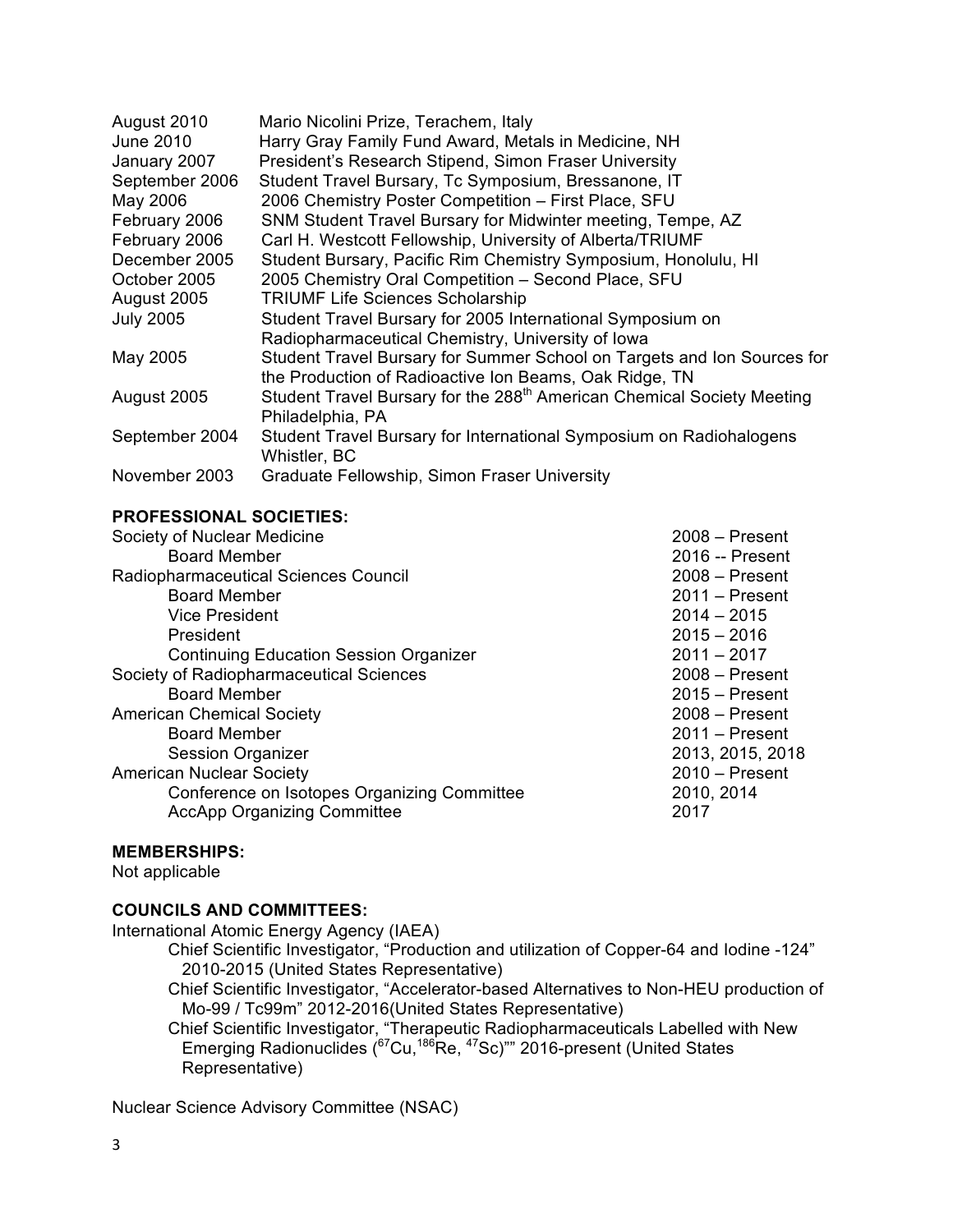| August 2010      | Mario Nicolini Prize, Terachem, Italy                                              |
|------------------|------------------------------------------------------------------------------------|
| <b>June 2010</b> | Harry Gray Family Fund Award, Metals in Medicine, NH                               |
| January 2007     | President's Research Stipend, Simon Fraser University                              |
| September 2006   | Student Travel Bursary, Tc Symposium, Bressanone, IT                               |
| May 2006         | 2006 Chemistry Poster Competition - First Place, SFU                               |
| February 2006    | SNM Student Travel Bursary for Midwinter meeting, Tempe, AZ                        |
| February 2006    | Carl H. Westcott Fellowship, University of Alberta/TRIUMF                          |
| December 2005    | Student Bursary, Pacific Rim Chemistry Symposium, Honolulu, HI                     |
| October 2005     | 2005 Chemistry Oral Competition - Second Place, SFU                                |
| August 2005      | <b>TRIUMF Life Sciences Scholarship</b>                                            |
| <b>July 2005</b> | Student Travel Bursary for 2005 International Symposium on                         |
|                  | Radiopharmaceutical Chemistry, University of Iowa                                  |
| May 2005         | Student Travel Bursary for Summer School on Targets and Ion Sources for            |
|                  | the Production of Radioactive Ion Beams, Oak Ridge, TN                             |
| August 2005      | Student Travel Bursary for the 288 <sup>th</sup> American Chemical Society Meeting |
|                  | Philadelphia, PA                                                                   |
| September 2004   | Student Travel Bursary for International Symposium on Radiohalogens                |
|                  | Whistler, BC                                                                       |
| November 2003    | Graduate Fellowship, Simon Fraser University                                       |

#### **PROFESSIONAL SOCIETIES:**

| Society of Nuclear Medicine                   | $2008 -$ Present |
|-----------------------------------------------|------------------|
| <b>Board Member</b>                           | 2016 -- Present  |
| Radiopharmaceutical Sciences Council          | $2008 -$ Present |
| <b>Board Member</b>                           | $2011 -$ Present |
| <b>Vice President</b>                         | $2014 - 2015$    |
| President                                     | $2015 - 2016$    |
| <b>Continuing Education Session Organizer</b> | $2011 - 2017$    |
| Society of Radiopharmaceutical Sciences       | $2008 -$ Present |
| <b>Board Member</b>                           | $2015 -$ Present |
| <b>American Chemical Society</b>              | $2008 -$ Present |
| <b>Board Member</b>                           | $2011 -$ Present |
| <b>Session Organizer</b>                      | 2013, 2015, 2018 |
| <b>American Nuclear Society</b>               | $2010 -$ Present |
| Conference on Isotopes Organizing Committee   | 2010, 2014       |
| <b>AccApp Organizing Committee</b>            | 2017             |
|                                               |                  |

#### **MEMBERSHIPS:**

Not applicable

#### **COUNCILS AND COMMITTEES:**

International Atomic Energy Agency (IAEA)

Chief Scientific Investigator, "Production and utilization of Copper-64 and Iodine -124" 2010-2015 (United States Representative)

Chief Scientific Investigator, "Accelerator-based Alternatives to Non-HEU production of Mo-99 / Tc99m" 2012-2016(United States Representative)

Chief Scientific Investigator, "Therapeutic Radiopharmaceuticals Labelled with New Emerging Radionuclides (<sup>67</sup>Cu,<sup>186</sup>Re, <sup>47</sup>Sc)"" 2016-present (United States Representative)

Nuclear Science Advisory Committee (NSAC)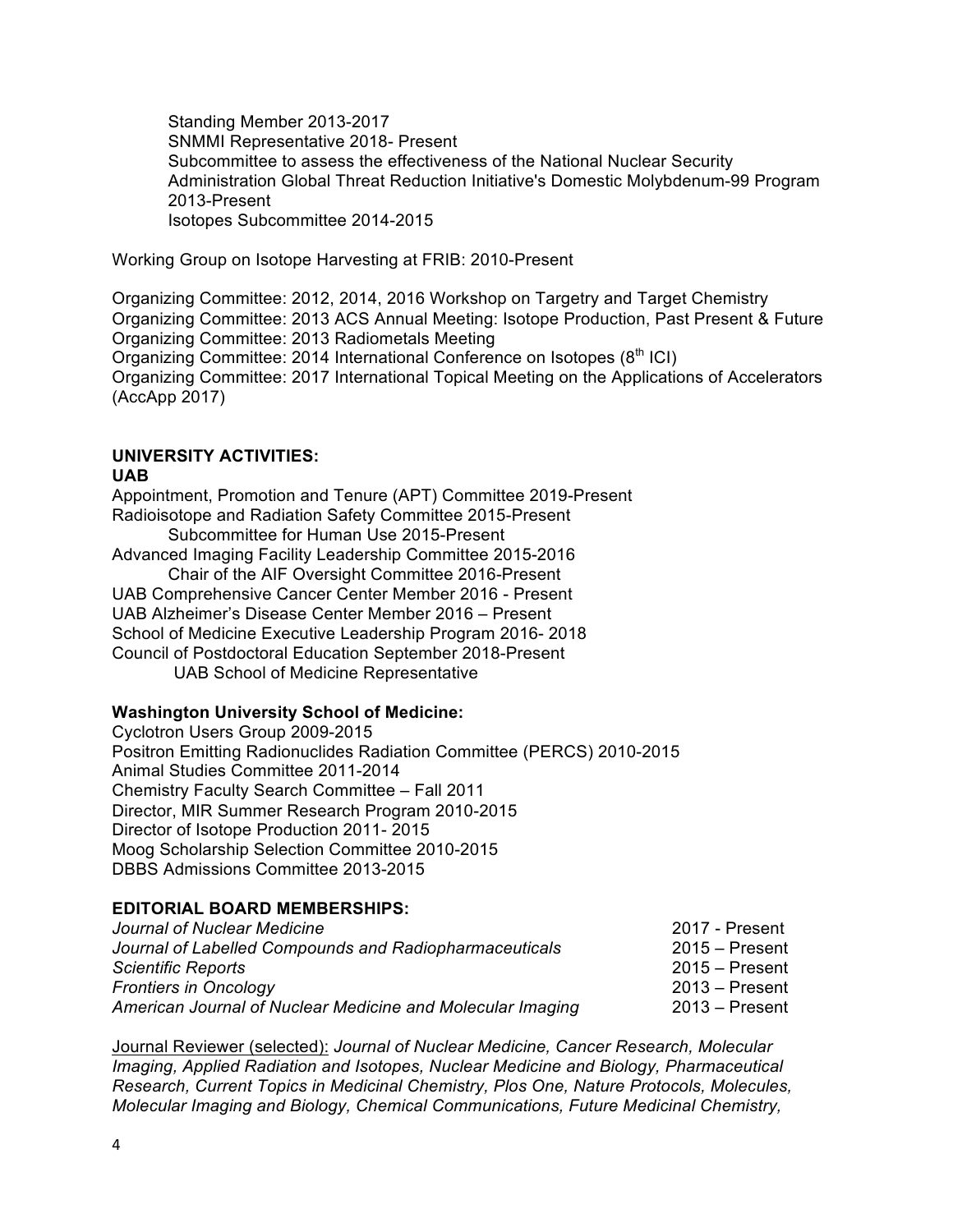Standing Member 2013-2017 SNMMI Representative 2018- Present Subcommittee to assess the effectiveness of the National Nuclear Security Administration Global Threat Reduction Initiative's Domestic Molybdenum-99 Program 2013-Present Isotopes Subcommittee 2014-2015

Working Group on Isotope Harvesting at FRIB: 2010-Present

Organizing Committee: 2012, 2014, 2016 Workshop on Targetry and Target Chemistry Organizing Committee: 2013 ACS Annual Meeting: Isotope Production, Past Present & Future Organizing Committee: 2013 Radiometals Meeting Organizing Committee: 2014 International Conference on Isotopes (8<sup>th</sup> ICI) Organizing Committee: 2017 International Topical Meeting on the Applications of Accelerators (AccApp 2017)

### **UNIVERSITY ACTIVITIES:**

#### **UAB**

Appointment, Promotion and Tenure (APT) Committee 2019-Present Radioisotope and Radiation Safety Committee 2015-Present Subcommittee for Human Use 2015-Present Advanced Imaging Facility Leadership Committee 2015-2016 Chair of the AIF Oversight Committee 2016-Present UAB Comprehensive Cancer Center Member 2016 - Present UAB Alzheimer's Disease Center Member 2016 – Present School of Medicine Executive Leadership Program 2016- 2018 Council of Postdoctoral Education September 2018-Present UAB School of Medicine Representative

#### **Washington University School of Medicine:**

Cyclotron Users Group 2009-2015 Positron Emitting Radionuclides Radiation Committee (PERCS) 2010-2015 Animal Studies Committee 2011-2014 Chemistry Faculty Search Committee – Fall 2011 Director, MIR Summer Research Program 2010-2015 Director of Isotope Production 2011- 2015 Moog Scholarship Selection Committee 2010-2015 DBBS Admissions Committee 2013-2015

#### **EDITORIAL BOARD MEMBERSHIPS:**

| 2017 - Present   |
|------------------|
| $2015 -$ Present |
| $2015 -$ Present |
| $2013 -$ Present |
| $2013 -$ Present |
|                  |

Journal Reviewer (selected): *Journal of Nuclear Medicine, Cancer Research, Molecular Imaging, Applied Radiation and Isotopes, Nuclear Medicine and Biology, Pharmaceutical Research, Current Topics in Medicinal Chemistry, Plos One, Nature Protocols, Molecules, Molecular Imaging and Biology, Chemical Communications, Future Medicinal Chemistry,*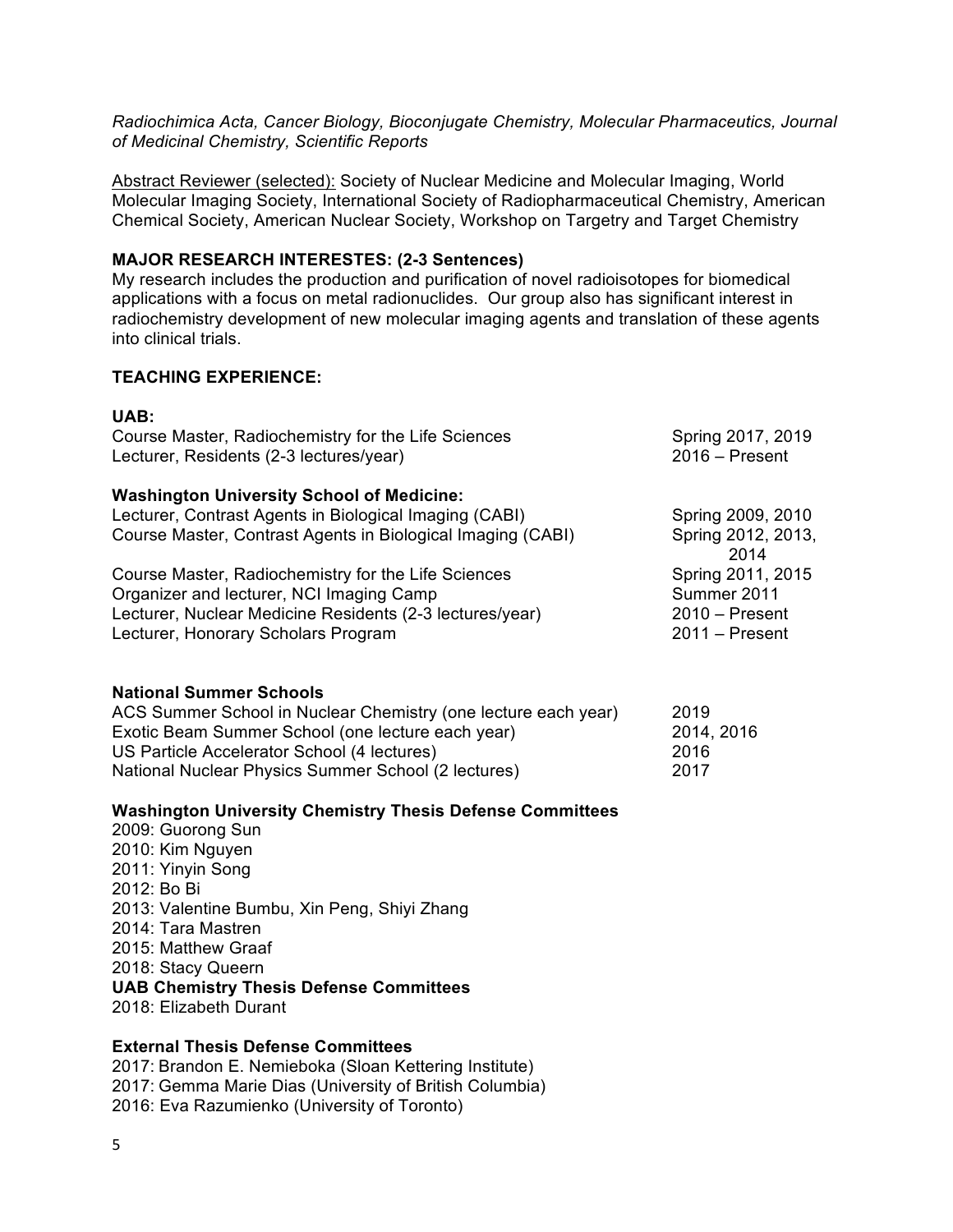*Radiochimica Acta, Cancer Biology, Bioconjugate Chemistry, Molecular Pharmaceutics, Journal of Medicinal Chemistry, Scientific Reports*

Abstract Reviewer (selected): Society of Nuclear Medicine and Molecular Imaging, World Molecular Imaging Society, International Society of Radiopharmaceutical Chemistry, American Chemical Society, American Nuclear Society, Workshop on Targetry and Target Chemistry

#### **MAJOR RESEARCH INTERESTES: (2-3 Sentences)**

My research includes the production and purification of novel radioisotopes for biomedical applications with a focus on metal radionuclides. Our group also has significant interest in radiochemistry development of new molecular imaging agents and translation of these agents into clinical trials.

#### **TEACHING EXPERIENCE:**

| UAB:                                                             |                            |
|------------------------------------------------------------------|----------------------------|
| Course Master, Radiochemistry for the Life Sciences              | Spring 2017, 2019          |
| Lecturer, Residents (2-3 lectures/year)                          | $2016$ – Present           |
| <b>Washington University School of Medicine:</b>                 |                            |
| Lecturer, Contrast Agents in Biological Imaging (CABI)           | Spring 2009, 2010          |
| Course Master, Contrast Agents in Biological Imaging (CABI)      | Spring 2012, 2013,<br>2014 |
| Course Master, Radiochemistry for the Life Sciences              | Spring 2011, 2015          |
| Organizer and lecturer, NCI Imaging Camp                         | Summer 2011                |
| Lecturer, Nuclear Medicine Residents (2-3 lectures/year)         | $2010 -$ Present           |
| Lecturer, Honorary Scholars Program                              | $2011 -$ Present           |
| <b>National Summer Schools</b>                                   |                            |
| ACS Summer School in Nuclear Chemistry (one lecture each year)   | 2019                       |
| Exotic Beam Summer School (one lecture each year)                | 2014, 2016                 |
| US Particle Accelerator School (4 lectures)                      | 2016                       |
| National Nuclear Physics Summer School (2 lectures)              | 2017                       |
| <b>Washington University Chemistry Thesis Defense Committees</b> |                            |
| 2009: Guorong Sun                                                |                            |
| 2010: Kim Nguyen                                                 |                            |
| 2011: Yinyin Song                                                |                            |
| 2012: Bo Bi                                                      |                            |
| 2013: Valentine Bumbu, Xin Peng, Shiyi Zhang                     |                            |
| 2014: Tara Mastren                                               |                            |

2015: Matthew Graaf 2018: Stacy Queern

**UAB Chemistry Thesis Defense Committees**

2018: Elizabeth Durant

#### **External Thesis Defense Committees**

2017: Brandon E. Nemieboka (Sloan Kettering Institute) 2017: Gemma Marie Dias (University of British Columbia) 2016: Eva Razumienko (University of Toronto)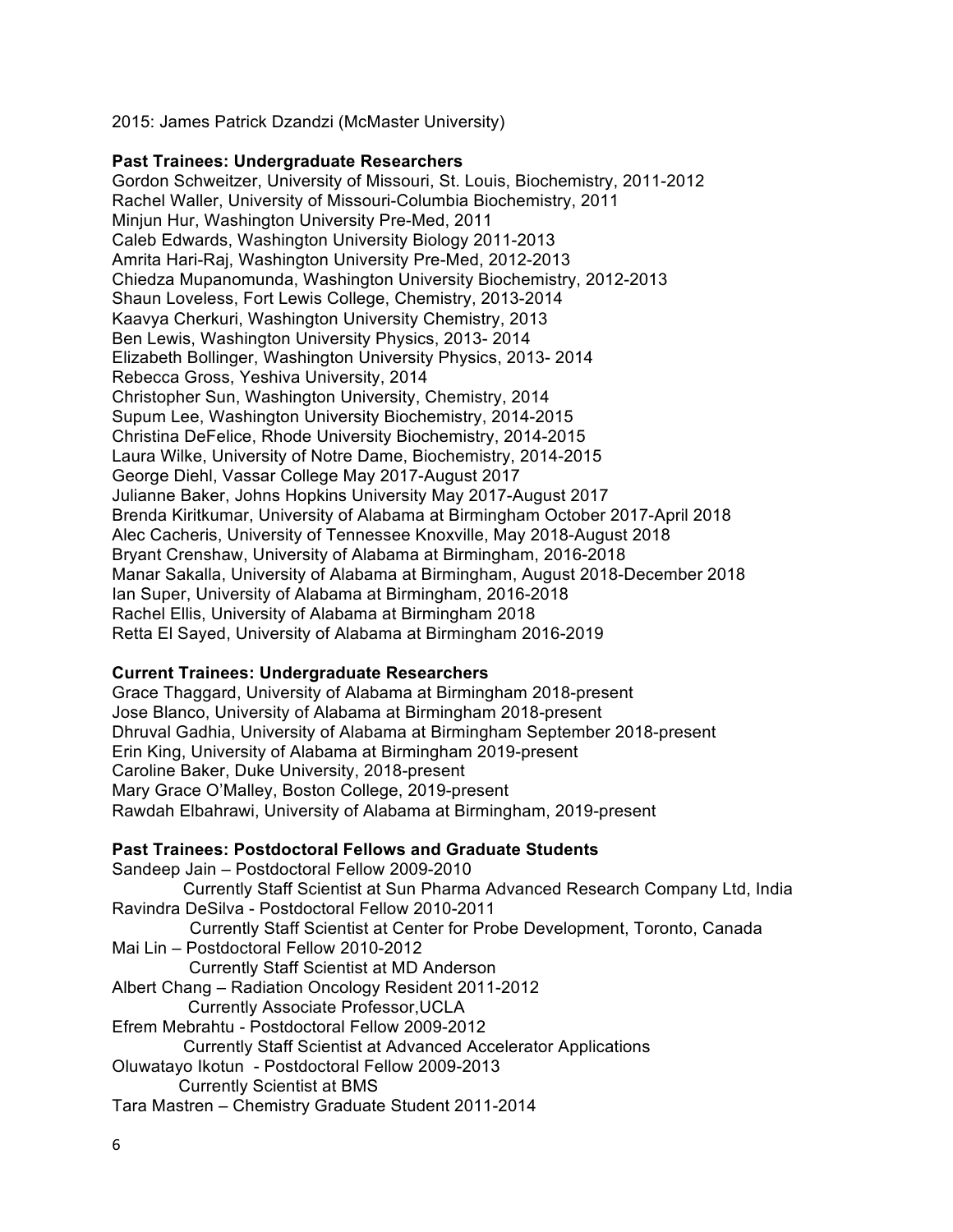2015: James Patrick Dzandzi (McMaster University)

#### **Past Trainees: Undergraduate Researchers**

Gordon Schweitzer, University of Missouri, St. Louis, Biochemistry, 2011-2012 Rachel Waller, University of Missouri-Columbia Biochemistry, 2011 Minjun Hur, Washington University Pre-Med, 2011 Caleb Edwards, Washington University Biology 2011-2013 Amrita Hari-Raj, Washington University Pre-Med, 2012-2013 Chiedza Mupanomunda, Washington University Biochemistry, 2012-2013 Shaun Loveless, Fort Lewis College, Chemistry, 2013-2014 Kaavya Cherkuri, Washington University Chemistry, 2013 Ben Lewis, Washington University Physics, 2013- 2014 Elizabeth Bollinger, Washington University Physics, 2013- 2014 Rebecca Gross, Yeshiva University, 2014 Christopher Sun, Washington University, Chemistry, 2014 Supum Lee, Washington University Biochemistry, 2014-2015 Christina DeFelice, Rhode University Biochemistry, 2014-2015 Laura Wilke, University of Notre Dame, Biochemistry, 2014-2015 George Diehl, Vassar College May 2017-August 2017 Julianne Baker, Johns Hopkins University May 2017-August 2017 Brenda Kiritkumar, University of Alabama at Birmingham October 2017-April 2018 Alec Cacheris, University of Tennessee Knoxville, May 2018-August 2018 Bryant Crenshaw, University of Alabama at Birmingham, 2016-2018 Manar Sakalla, University of Alabama at Birmingham, August 2018-December 2018 Ian Super, University of Alabama at Birmingham, 2016-2018 Rachel Ellis, University of Alabama at Birmingham 2018 Retta El Sayed, University of Alabama at Birmingham 2016-2019

#### **Current Trainees: Undergraduate Researchers**

Grace Thaggard, University of Alabama at Birmingham 2018-present Jose Blanco, University of Alabama at Birmingham 2018-present Dhruval Gadhia, University of Alabama at Birmingham September 2018-present Erin King, University of Alabama at Birmingham 2019-present Caroline Baker, Duke University, 2018-present Mary Grace O'Malley, Boston College, 2019-present Rawdah Elbahrawi, University of Alabama at Birmingham, 2019-present

#### **Past Trainees: Postdoctoral Fellows and Graduate Students**

| Sandeep Jain - Postdoctoral Fellow 2009-2010                                 |
|------------------------------------------------------------------------------|
| Currently Staff Scientist at Sun Pharma Advanced Research Company Ltd, India |
| Ravindra DeSilva - Postdoctoral Fellow 2010-2011                             |
| Currently Staff Scientist at Center for Probe Development, Toronto, Canada   |
| Mai Lin - Postdoctoral Fellow 2010-2012                                      |
| Currently Staff Scientist at MD Anderson                                     |
| Albert Chang - Radiation Oncology Resident 2011-2012                         |
| <b>Currently Associate Professor, UCLA</b>                                   |
| Efrem Mebrahtu - Postdoctoral Fellow 2009-2012                               |
| Currently Staff Scientist at Advanced Accelerator Applications               |
| Oluwatayo Ikotun - Postdoctoral Fellow 2009-2013                             |
| <b>Currently Scientist at BMS</b>                                            |
| Tara Mastren - Chemistry Graduate Student 2011-2014                          |
|                                                                              |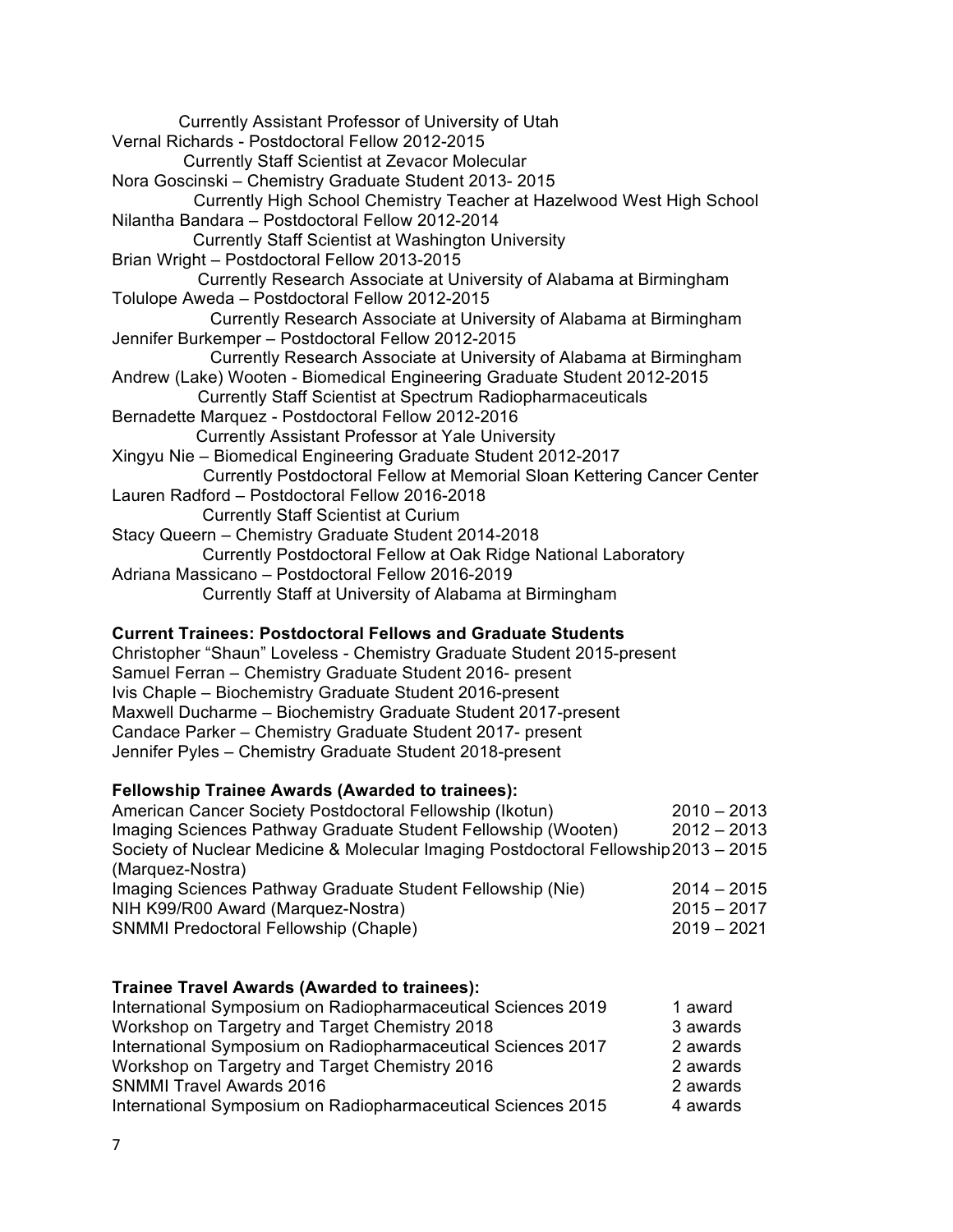Currently Assistant Professor of University of Utah Vernal Richards - Postdoctoral Fellow 2012-2015 Currently Staff Scientist at Zevacor Molecular Nora Goscinski – Chemistry Graduate Student 2013- 2015 Currently High School Chemistry Teacher at Hazelwood West High School Nilantha Bandara – Postdoctoral Fellow 2012-2014 Currently Staff Scientist at Washington University Brian Wright – Postdoctoral Fellow 2013-2015 Currently Research Associate at University of Alabama at Birmingham Tolulope Aweda – Postdoctoral Fellow 2012-2015 Currently Research Associate at University of Alabama at Birmingham Jennifer Burkemper – Postdoctoral Fellow 2012-2015 Currently Research Associate at University of Alabama at Birmingham Andrew (Lake) Wooten - Biomedical Engineering Graduate Student 2012-2015 Currently Staff Scientist at Spectrum Radiopharmaceuticals Bernadette Marquez - Postdoctoral Fellow 2012-2016 Currently Assistant Professor at Yale University Xingyu Nie – Biomedical Engineering Graduate Student 2012-2017 Currently Postdoctoral Fellow at Memorial Sloan Kettering Cancer Center Lauren Radford – Postdoctoral Fellow 2016-2018 Currently Staff Scientist at Curium Stacy Queern – Chemistry Graduate Student 2014-2018 Currently Postdoctoral Fellow at Oak Ridge National Laboratory Adriana Massicano – Postdoctoral Fellow 2016-2019 Currently Staff at University of Alabama at Birmingham

#### **Current Trainees: Postdoctoral Fellows and Graduate Students**

Christopher "Shaun" Loveless - Chemistry Graduate Student 2015-present Samuel Ferran – Chemistry Graduate Student 2016- present Ivis Chaple – Biochemistry Graduate Student 2016-present Maxwell Ducharme – Biochemistry Graduate Student 2017-present Candace Parker – Chemistry Graduate Student 2017- present Jennifer Pyles – Chemistry Graduate Student 2018-present

#### **Fellowship Trainee Awards (Awarded to trainees):**

| $2010 - 2013$                                                                       |
|-------------------------------------------------------------------------------------|
| $2012 - 2013$                                                                       |
| Society of Nuclear Medicine & Molecular Imaging Postdoctoral Fellowship 2013 - 2015 |
|                                                                                     |
| $2014 - 2015$                                                                       |
| $2015 - 2017$                                                                       |
| $2019 - 2021$                                                                       |
|                                                                                     |

#### **Trainee Travel Awards (Awarded to trainees):** International Symposium on Radiopharmaceutical Sciences 2019 1 award Workshop on Targetry and Target Chemistry 2018 3 awards International Symposium on Radiopharmaceutical Sciences 2017 2 awards Workshop on Targetry and Target Chemistry 2016 2 awards SNMMI Travel Awards 2016 2 awards International Symposium on Radiopharmaceutical Sciences 2015 4 awards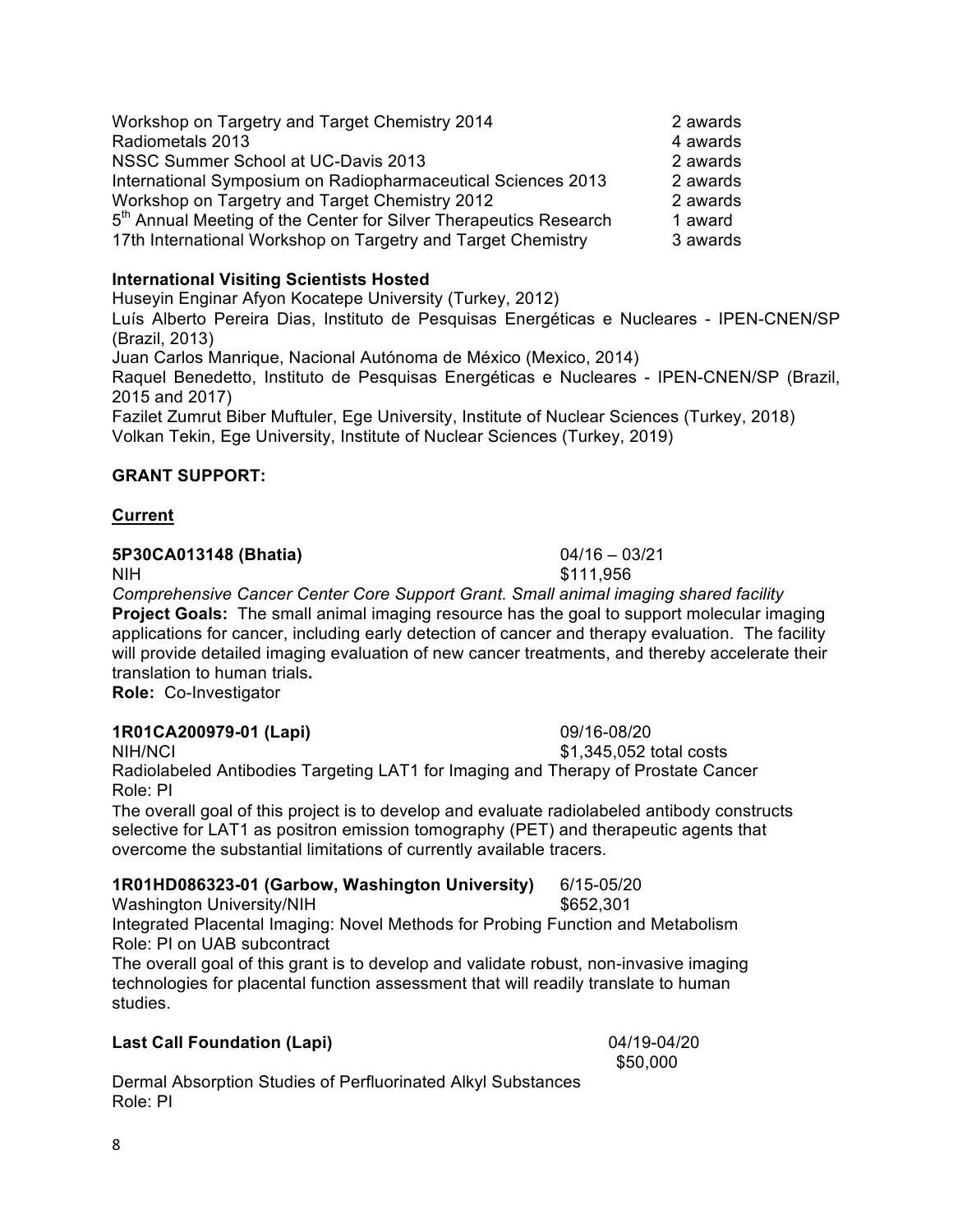Workshop on Targetry and Target Chemistry 2014 2 awards Radiometals 2013 **4 awards** NSSC Summer School at UC-Davis 2013 2 awards International Symposium on Radiopharmaceutical Sciences 2013 2 awards Workshop on Targetry and Target Chemistry 2012 **2** awards 5<sup>th</sup> Annual Meeting of the Center for Silver Therapeutics Research 1 award 17th International Workshop on Targetry and Target Chemistry 3 awards

### **International Visiting Scientists Hosted**

Huseyin Enginar Afyon Kocatepe University (Turkey, 2012) Luís Alberto Pereira Dias, Instituto de Pesquisas Energéticas e Nucleares - IPEN-CNEN/SP (Brazil, 2013) Juan Carlos Manrique, Nacional Autónoma de México (Mexico, 2014) Raquel Benedetto, Instituto de Pesquisas Energéticas e Nucleares - IPEN-CNEN/SP (Brazil, 2015 and 2017)

Fazilet Zumrut Biber Muftuler, Ege University, Institute of Nuclear Sciences (Turkey, 2018) Volkan Tekin, Ege University, Institute of Nuclear Sciences (Turkey, 2019)

# **GRANT SUPPORT:**

## **Current**

### **5P30CA013148 (Bhatia)** 04/16 – 03/21

*Comprehensive Cancer Center Core Support Grant. Small animal imaging shared facility* **Project Goals:** The small animal imaging resource has the goal to support molecular imaging applications for cancer, including early detection of cancer and therapy evaluation. The facility will provide detailed imaging evaluation of new cancer treatments, and thereby accelerate their translation to human trials**. Role:** Co-Investigator

### **1R01CA200979-01 (Lapi)** 09/16-08/20

NIH/NCI \$1,345,052 total costs Radiolabeled Antibodies Targeting LAT1 for Imaging and Therapy of Prostate Cancer Role: PI

The overall goal of this project is to develop and evaluate radiolabeled antibody constructs selective for LAT1 as positron emission tomography (PET) and therapeutic agents that overcome the substantial limitations of currently available tracers.

# **1R01HD086323-01 (Garbow, Washington University)** 6/15-05/20

Washington University/NIH 3652,301 Integrated Placental Imaging: Novel Methods for Probing Function and Metabolism Role: PI on UAB subcontract

The overall goal of this grant is to develop and validate robust, non-invasive imaging technologies for placental function assessment that will readily translate to human studies.

# **Last Call Foundation (Lapi)** 04/19-04/20

Dermal Absorption Studies of Perfluorinated Alkyl Substances Role: PI

NIH \$111,956

\$50,000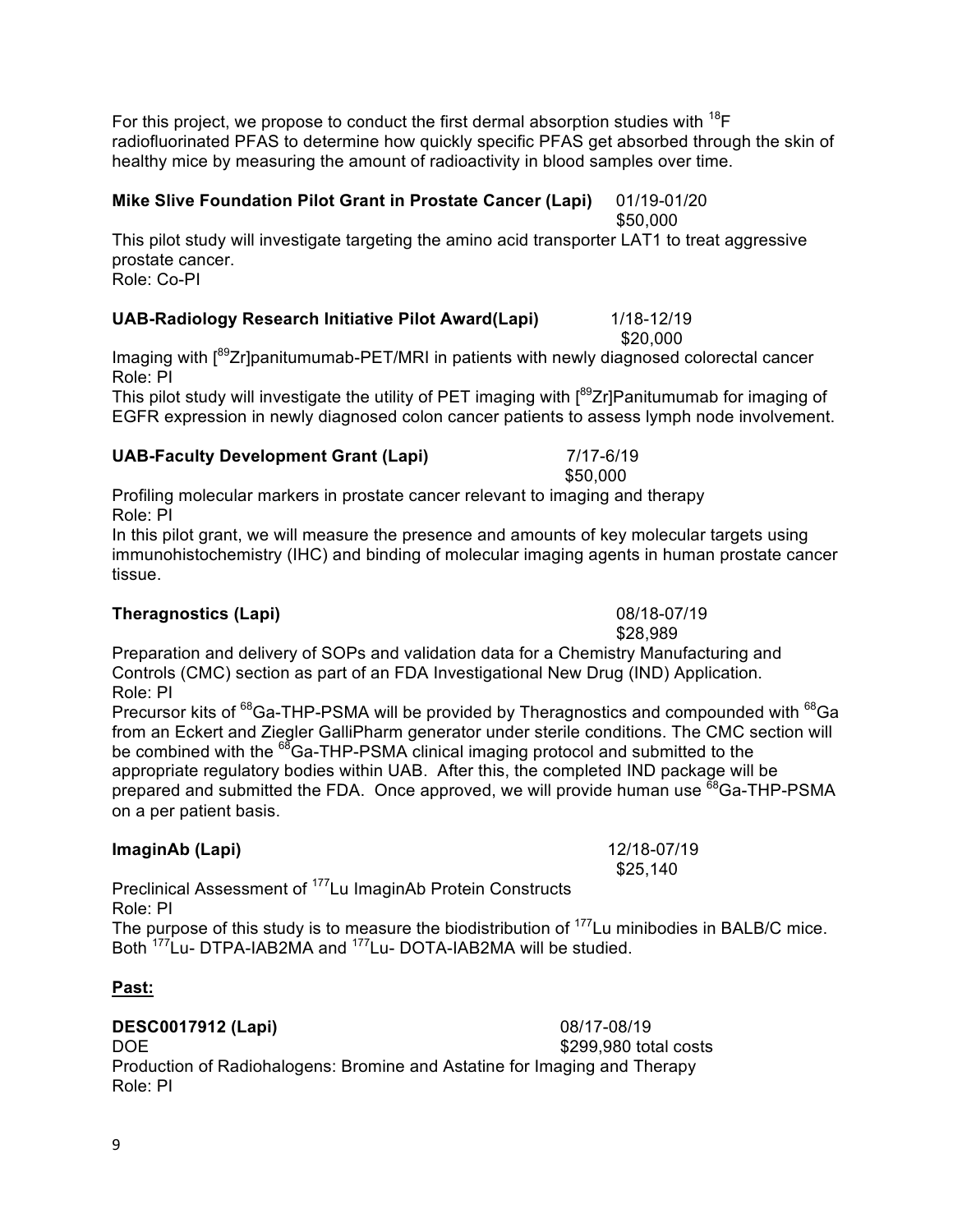For this project, we propose to conduct the first dermal absorption studies with  $^{18}$ F radiofluorinated PFAS to determine how quickly specific PFAS get absorbed through the skin of healthy mice by measuring the amount of radioactivity in blood samples over time.

#### **Mike Slive Foundation Pilot Grant in Prostate Cancer (Lapi)** 01/19-01/20 \$50,000

This pilot study will investigate targeting the amino acid transporter LAT1 to treat aggressive prostate cancer. Role: Co-PI

#### **UAB-Radiology Research Initiative Pilot Award(Lapi)** 1/18-12/19

\$20,000 Imaging with  $\int_{0}^{89}Zr$ ]panitumumab-PET/MRI in patients with newly diagnosed colorectal cancer Role: PI

This pilot study will investigate the utility of PET imaging with  $1^{89}Zr$ ]Panitumumab for imaging of EGFR expression in newly diagnosed colon cancer patients to assess lymph node involvement.

#### **UAB-Faculty Development Grant (Lapi)** 7/17-6/19

Profiling molecular markers in prostate cancer relevant to imaging and therapy Role: PI

In this pilot grant, we will measure the presence and amounts of key molecular targets using immunohistochemistry (IHC) and binding of molecular imaging agents in human prostate cancer tissue.

#### **Theragnostics (Lapi)** 08/18-07/19

Preparation and delivery of SOPs and validation data for a Chemistry Manufacturing and Controls (CMC) section as part of an FDA Investigational New Drug (IND) Application. Role: PI

Precursor kits of <sup>68</sup>Ga-THP-PSMA will be provided by Theragnostics and compounded with <sup>68</sup>Ga from an Eckert and Ziegler GalliPharm generator under sterile conditions. The CMC section will be combined with the <sup>68</sup>Ga-THP-PSMA clinical imaging protocol and submitted to the appropriate regulatory bodies within UAB. After this, the completed IND package will be prepared and submitted the FDA. Once approved, we will provide human use <sup>68</sup>Ga-THP-PSMA on a per patient basis.

#### **ImaginAb (Lapi)** 12/18-07/19

Preclinical Assessment of 177Lu ImaginAb Protein Constructs Role: PI

The purpose of this study is to measure the biodistribution of  $177$ Lu minibodies in BALB/C mice. Both 177Lu- DTPA-IAB2MA and 177Lu- DOTA-IAB2MA will be studied.

#### **Past:**

**DESC0017912 (Lapi)** 08/17-08/19 DOE \$299,980 total costs Production of Radiohalogens: Bromine and Astatine for Imaging and Therapy Role: PI

\$50,000

\$28,989

\$25,140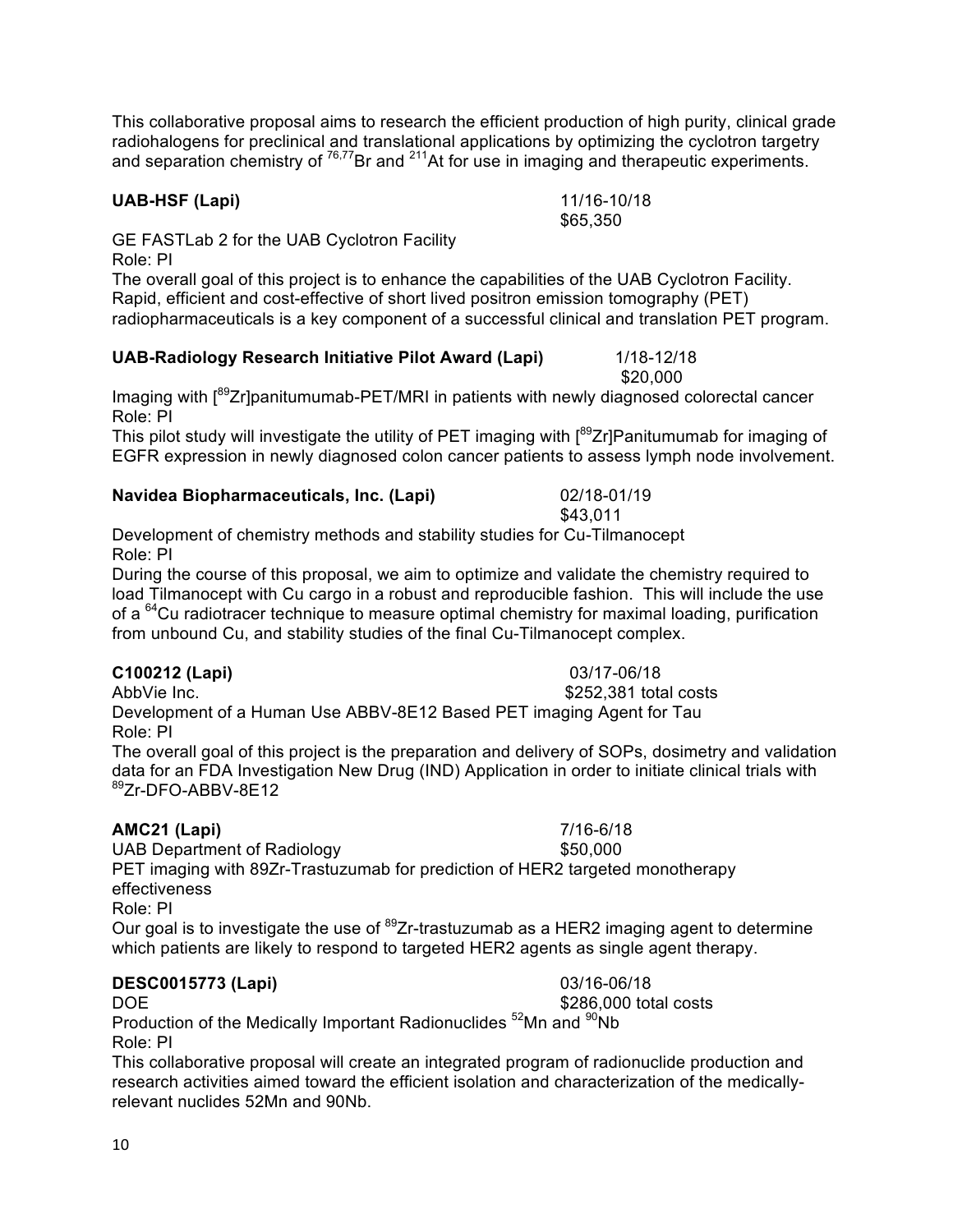This collaborative proposal aims to research the efficient production of high purity, clinical grade radiohalogens for preclinical and translational applications by optimizing the cyclotron targetry and separation chemistry of <sup>76,77</sup>Br and <sup>211</sup>At for use in imaging and therapeutic experiments.

#### **UAB-HSF (Lapi)** 11/16-10/18

GE FASTLab 2 for the UAB Cyclotron Facility Role: PI

The overall goal of this project is to enhance the capabilities of the UAB Cyclotron Facility. Rapid, efficient and cost-effective of short lived positron emission tomography (PET) radiopharmaceuticals is a key component of a successful clinical and translation PET program.

#### **UAB-Radiology Research Initiative Pilot Award (Lapi)** 1/18-12/18

Imaging with  $I^{89}Zr$ ]panitumumab-PET/MRI in patients with newly diagnosed colorectal cancer Role: PI

This pilot study will investigate the utility of PET imaging with [89Zr]Panitumumab for imaging of EGFR expression in newly diagnosed colon cancer patients to assess lymph node involvement.

#### **Navidea Biopharmaceuticals, Inc. (Lapi)** 02/18-01/19

Development of chemistry methods and stability studies for Cu-Tilmanocept Role: PI

During the course of this proposal, we aim to optimize and validate the chemistry required to load Tilmanocept with Cu cargo in a robust and reproducible fashion. This will include the use of a <sup>64</sup>Cu radiotracer technique to measure optimal chemistry for maximal loading, purification from unbound Cu, and stability studies of the final Cu-Tilmanocept complex.

#### **C100212 (Lapi)** 03/17-06/18

AbbVie Inc. **\$252,381** total costs Development of a Human Use ABBV-8E12 Based PET imaging Agent for Tau Role: PI

The overall goal of this project is the preparation and delivery of SOPs, dosimetry and validation data for an FDA Investigation New Drug (IND) Application in order to initiate clinical trials with 89Zr-DFO-ABBV-8E12

#### **AMC21 (Lapi)** 7/16-6/18

UAB Department of Radiology **\$50,000** PET imaging with 89Zr-Trastuzumab for prediction of HER2 targeted monotherapy effectiveness Role: PI

Our goal is to investigate the use of  $^{89}$ Zr-trastuzumab as a HER2 imaging agent to determine which patients are likely to respond to targeted HER2 agents as single agent therapy.

#### **DESC0015773 (Lapi)** 03/16-06/18

DOE 6286,000 total costs Production of the Medically Important Radionuclides <sup>52</sup>Mn and <sup>90</sup>Nb Role: PI

This collaborative proposal will create an integrated program of radionuclide production and research activities aimed toward the efficient isolation and characterization of the medicallyrelevant nuclides 52Mn and 90Nb.

\$43,011

\$65,350

\$20,000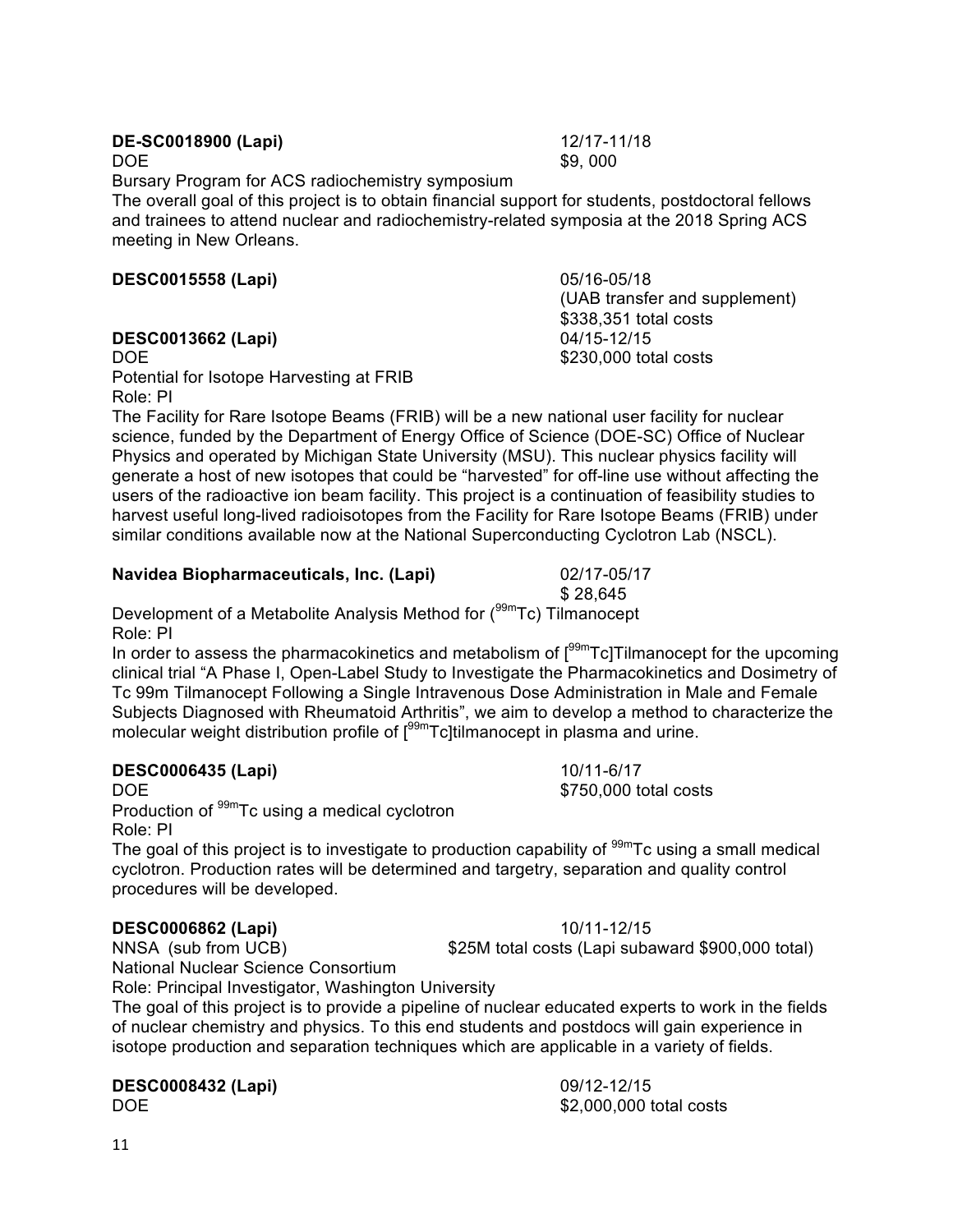# **DE-SC0018900 (Lapi)** 12/17-11/18

Bursary Program for ACS radiochemistry symposium

The overall goal of this project is to obtain financial support for students, postdoctoral fellows and trainees to attend nuclear and radiochemistry-related symposia at the 2018 Spring ACS meeting in New Orleans.

# **DESC0015558 (Lapi)** 05/16-05/18

# **DESC0013662 (Lapi)** 04/15-12/15

Potential for Isotope Harvesting at FRIB Role: PI

The Facility for Rare Isotope Beams (FRIB) will be a new national user facility for nuclear science, funded by the Department of Energy Office of Science (DOE-SC) Office of Nuclear Physics and operated by Michigan State University (MSU). This nuclear physics facility will generate a host of new isotopes that could be "harvested" for off-line use without affecting the users of the radioactive ion beam facility. This project is a continuation of feasibility studies to harvest useful long-lived radioisotopes from the Facility for Rare Isotope Beams (FRIB) under similar conditions available now at the National Superconducting Cyclotron Lab (NSCL).

# **Navidea Biopharmaceuticals, Inc. (Lapi)** 02/17-05/17

\$ 28,645 Development of a Metabolite Analysis Method for (<sup>99m</sup>Tc) Tilmanocept Role: PI

In order to assess the pharmacokinetics and metabolism of  $\int_{0}^{99m}Tc$ ] Tilmanocept for the upcoming clinical trial "A Phase I, Open-Label Study to Investigate the Pharmacokinetics and Dosimetry of Tc 99m Tilmanocept Following a Single Intravenous Dose Administration in Male and Female Subjects Diagnosed with Rheumatoid Arthritis", we aim to develop a method to characterize the molecular weight distribution profile of  $1^{99m}$ Tc]tilmanocept in plasma and urine.

# **DESC0006435 (Lapi)** 10/11-6/17

Production of <sup>99m</sup>Tc using a medical cyclotron Role: PI

The goal of this project is to investigate to production capability of  $\frac{99m}{C}$ c using a small medical cyclotron. Production rates will be determined and targetry, separation and quality control procedures will be developed.

# **DESC0006862 (Lapi)** 10/11-12/15

NNSA (sub from UCB) \$25M total costs (Lapi subaward \$900,000 total) National Nuclear Science Consortium

Role: Principal Investigator, Washington University The goal of this project is to provide a pipeline of nuclear educated experts to work in the fields

of nuclear chemistry and physics. To this end students and postdocs will gain experience in isotope production and separation techniques which are applicable in a variety of fields.

**DESC0008432 (Lapi)** 09/12-12/15

DOE \$2,000,000 total costs

DOE \$750,000 total costs

(UAB transfer and supplement) \$338,351 total costs DOE \$230,000 total costs

 $DOE$  \$9, 000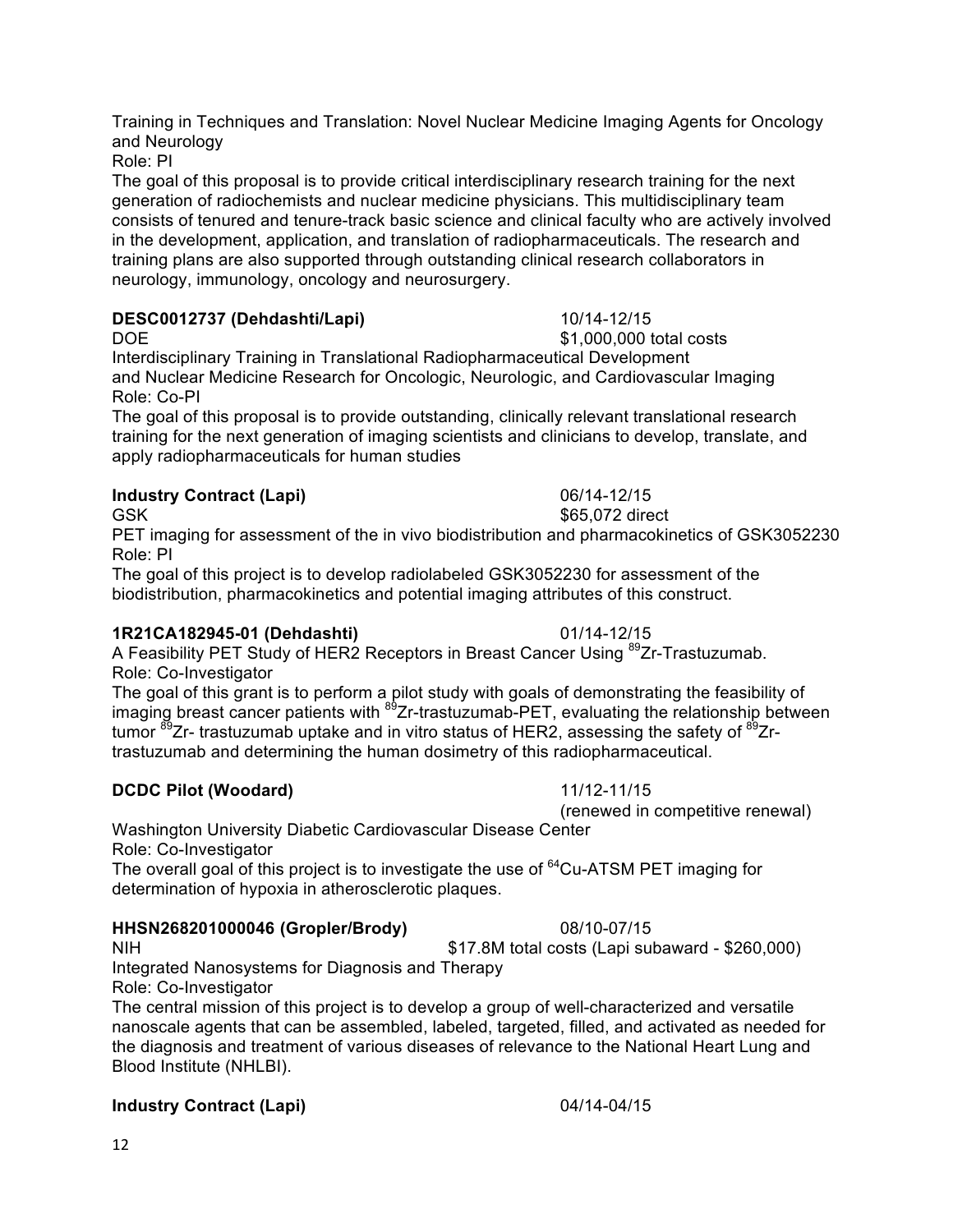Training in Techniques and Translation: Novel Nuclear Medicine Imaging Agents for Oncology and Neurology

Role: PI

The goal of this proposal is to provide critical interdisciplinary research training for the next generation of radiochemists and nuclear medicine physicians. This multidisciplinary team consists of tenured and tenure-track basic science and clinical faculty who are actively involved in the development, application, and translation of radiopharmaceuticals. The research and training plans are also supported through outstanding clinical research collaborators in neurology, immunology, oncology and neurosurgery.

### **DESC0012737 (Dehdashti/Lapi)** 10/14-12/15

DOE \$1,000,000 total costs Interdisciplinary Training in Translational Radiopharmaceutical Development and Nuclear Medicine Research for Oncologic, Neurologic, and Cardiovascular Imaging Role: Co-PI

The goal of this proposal is to provide outstanding, clinically relevant translational research training for the next generation of imaging scientists and clinicians to develop, translate, and apply radiopharmaceuticals for human studies

# **Industry Contract (Lapi)** 06/14-12/15

PET imaging for assessment of the in vivo biodistribution and pharmacokinetics of GSK3052230 Role: PI

The goal of this project is to develop radiolabeled GSK3052230 for assessment of the biodistribution, pharmacokinetics and potential imaging attributes of this construct.

### **1R21CA182945-01 (Dehdashti)** 01/14-12/15

A Feasibility PET Study of HER2 Receptors in Breast Cancer Using <sup>89</sup>Zr-Trastuzumab. Role: Co-Investigator

The goal of this grant is to perform a pilot study with goals of demonstrating the feasibility of imaging breast cancer patients with  $^{89}Zr$ -trastuzumab-PET, evaluating the relationship between tumor  $^{89}Zr$ - trastuzumab uptake and in vitro status of HER2, assessing the safety of  $^{89}Zr$ trastuzumab and determining the human dosimetry of this radiopharmaceutical.

### **DCDC Pilot (Woodard)** 11/12-11/15

Washington University Diabetic Cardiovascular Disease Center Role: Co-Investigator

The overall goal of this project is to investigate the use of <sup>64</sup>Cu-ATSM PET imaging for determination of hypoxia in atherosclerotic plaques.

### **HHSN268201000046 (Gropler/Brody)** 08/10-07/15

NIH \$17.8M total costs (Lapi subaward - \$260,000) Integrated Nanosystems for Diagnosis and Therapy

Role: Co-Investigator

The central mission of this project is to develop a group of well-characterized and versatile nanoscale agents that can be assembled, labeled, targeted, filled, and activated as needed for the diagnosis and treatment of various diseases of relevance to the National Heart Lung and Blood Institute (NHLBI).

### **Industry Contract (Lapi)** 04/14-04/15

(renewed in competitive renewal)

GSK \$65,072 direct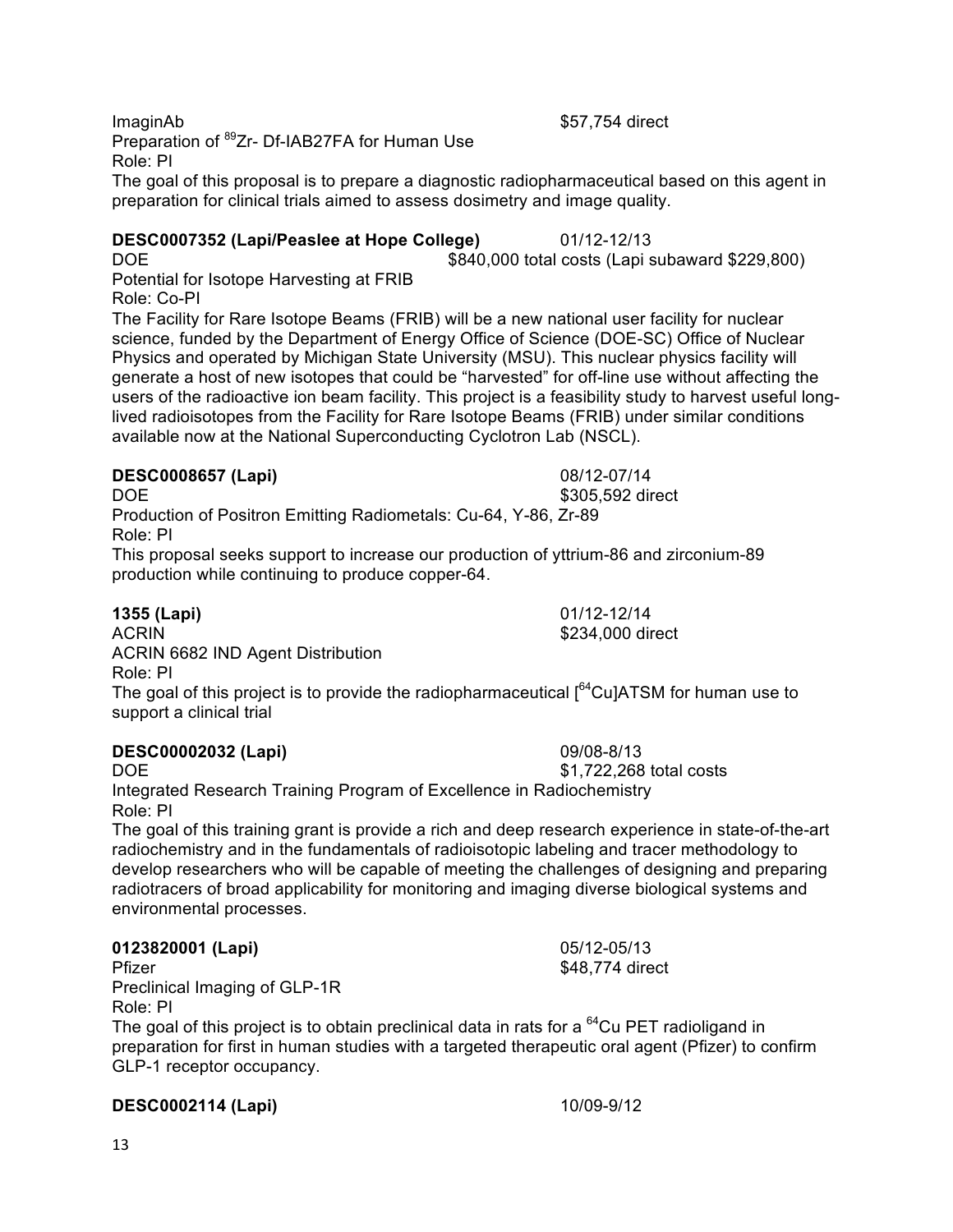**ImaginAb** \$57,754 direct Preparation of <sup>89</sup>Zr- Df-IAB27FA for Human Use Role: PI

The goal of this proposal is to prepare a diagnostic radiopharmaceutical based on this agent in preparation for clinical trials aimed to assess dosimetry and image quality.

#### **DESC0007352 (Lapi/Peaslee at Hope College)** 01/12-12/13

DOE **\$840,000** total costs (Lapi subaward \$229,800) Potential for Isotope Harvesting at FRIB Role: Co-PI

The Facility for Rare Isotope Beams (FRIB) will be a new national user facility for nuclear science, funded by the Department of Energy Office of Science (DOE-SC) Office of Nuclear Physics and operated by Michigan State University (MSU). This nuclear physics facility will generate a host of new isotopes that could be "harvested" for off-line use without affecting the users of the radioactive ion beam facility. This project is a feasibility study to harvest useful longlived radioisotopes from the Facility for Rare Isotope Beams (FRIB) under similar conditions available now at the National Superconducting Cyclotron Lab (NSCL).

### **DESC0008657 (Lapi)** 08/12-07/14

Production of Positron Emitting Radiometals: Cu-64, Y-86, Zr-89 Role: PI

This proposal seeks support to increase our production of yttrium-86 and zirconium-89 production while continuing to produce copper-64.

**1355 (Lapi)** 01/12-12/14

ACRIN \$234,000 direct ACRIN 6682 IND Agent Distribution

Role: PI

The goal of this project is to provide the radiopharmaceutical  $\int_{0}^{64}$ Cu]ATSM for human use to support a clinical trial

# **DESC00002032 (Lapi)** 09/08-8/13

Integrated Research Training Program of Excellence in Radiochemistry Role: PI

The goal of this training grant is provide a rich and deep research experience in state-of-the-art radiochemistry and in the fundamentals of radioisotopic labeling and tracer methodology to develop researchers who will be capable of meeting the challenges of designing and preparing radiotracers of broad applicability for monitoring and imaging diverse biological systems and environmental processes.

# **0123820001 (Lapi)** 05/12-05/13

Pfizer \$48,774 direct Preclinical Imaging of GLP-1R Role: PI

The goal of this project is to obtain preclinical data in rats for a  $^{64}$ Cu PET radioligand in preparation for first in human studies with a targeted therapeutic oral agent (Pfizer) to confirm GLP-1 receptor occupancy.

### **DESC0002114 (Lapi)** 10/09-9/12

DOE \$1,722,268 total costs

DOE \$305,592 direct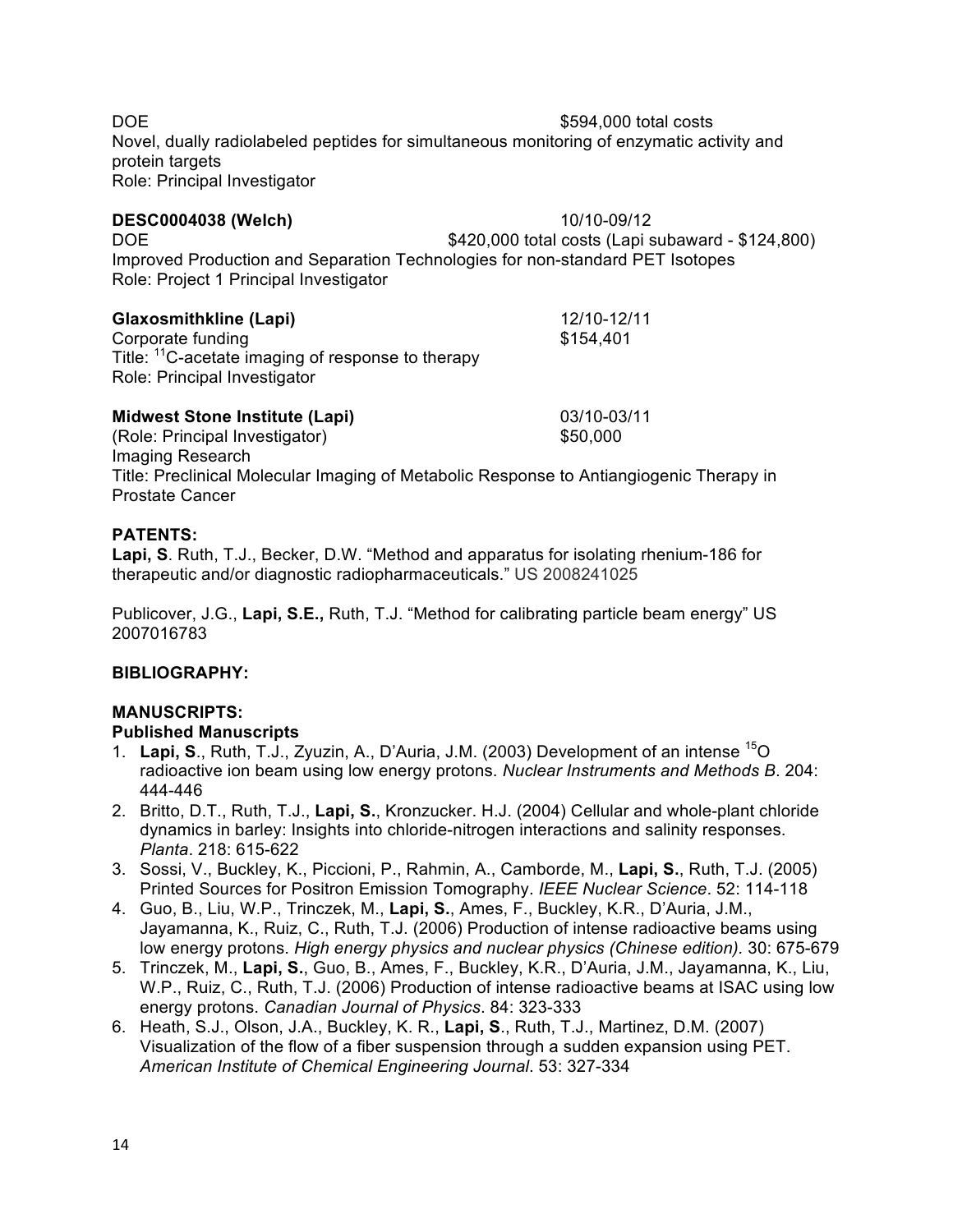DOE \$594,000 total costs Novel, dually radiolabeled peptides for simultaneous monitoring of enzymatic activity and protein targets Role: Principal Investigator

**DESC0004038 (Welch)** 10/10-09/12

**Glaxosmithkline (Lapi)** 12/10-12/11 Corporate funding \$154,401 Title: <sup>11</sup>C-acetate imaging of response to therapy Role: Principal Investigator

#### **Midwest Stone Institute (Lapi)** 03/10-03/11

Role: Project 1 Principal Investigator

(Role: Principal Investigator) \$50,000 Imaging Research Title: Preclinical Molecular Imaging of Metabolic Response to Antiangiogenic Therapy in Prostate Cancer

#### **PATENTS:**

**Lapi, S**. Ruth, T.J., Becker, D.W. "Method and apparatus for isolating rhenium-186 for therapeutic and/or diagnostic radiopharmaceuticals." US 2008241025

Publicover, J.G., **Lapi, S.E.,** Ruth, T.J. "Method for calibrating particle beam energy" US 2007016783

### **BIBLIOGRAPHY:**

### **MANUSCRIPTS:**

### **Published Manuscripts**

- 1. **Lapi, S**., Ruth, T.J., Zyuzin, A., D'Auria, J.M. (2003) Development of an intense 15O radioactive ion beam using low energy protons. *Nuclear Instruments and Methods B*. 204: 444-446
- 2. Britto, D.T., Ruth, T.J., **Lapi, S.**, Kronzucker. H.J. (2004) Cellular and whole-plant chloride dynamics in barley: Insights into chloride-nitrogen interactions and salinity responses. *Planta*. 218: 615-622
- 3. Sossi, V., Buckley, K., Piccioni, P., Rahmin, A., Camborde, M., **Lapi, S.**, Ruth, T.J. (2005) Printed Sources for Positron Emission Tomography. *IEEE Nuclear Science*. 52: 114-118
- 4. Guo, B., Liu, W.P., Trinczek, M., **Lapi, S.**, Ames, F., Buckley, K.R., D'Auria, J.M., Jayamanna, K., Ruiz, C., Ruth, T.J. (2006) Production of intense radioactive beams using low energy protons. *High energy physics and nuclear physics (Chinese edition).* 30: 675-679
- 5. Trinczek, M., **Lapi, S.**, Guo, B., Ames, F., Buckley, K.R., D'Auria, J.M., Jayamanna, K., Liu, W.P., Ruiz, C., Ruth, T.J. (2006) Production of intense radioactive beams at ISAC using low energy protons. *Canadian Journal of Physics*. 84: 323-333
- 6. Heath, S.J., Olson, J.A., Buckley, K. R., **Lapi, S**., Ruth, T.J., Martinez, D.M. (2007) Visualization of the flow of a fiber suspension through a sudden expansion using PET. *American Institute of Chemical Engineering Journal*. 53: 327-334

DOE **\$420,000** total costs (Lapi subaward - \$124,800)

Improved Production and Separation Technologies for non-standard PET Isotopes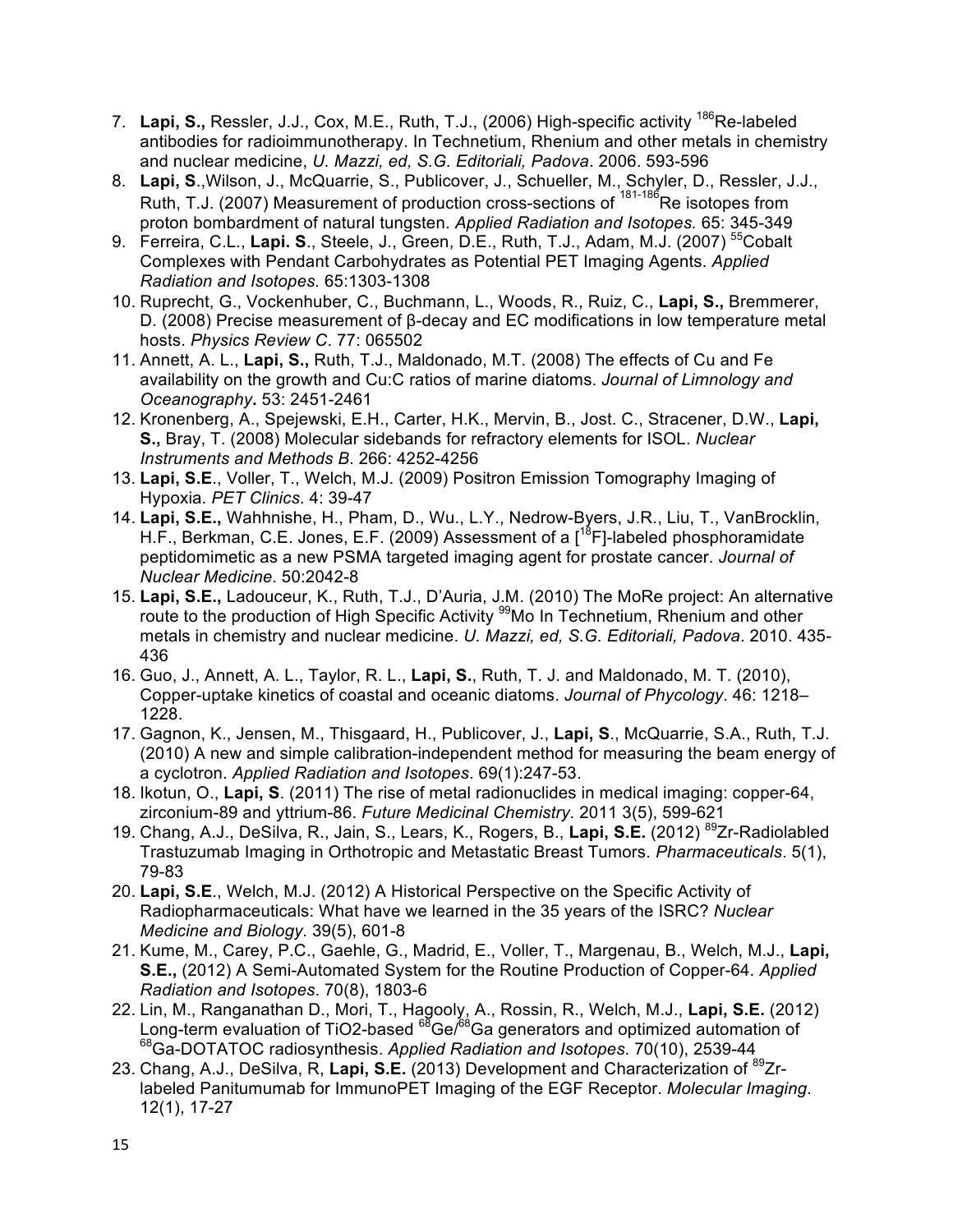- 7. Lapi, S., Ressler, J.J., Cox, M.E., Ruth, T.J., (2006) High-specific activity <sup>186</sup>Re-labeled antibodies for radioimmunotherapy. In Technetium, Rhenium and other metals in chemistry and nuclear medicine, *U. Mazzi, ed, S.G. Editoriali, Padova*. 2006. 593-596
- 8. **Lapi, S**.,Wilson, J., McQuarrie, S., Publicover, J., Schueller, M., Schyler, D., Ressler, J.J., Ruth, T.J. (2007) Measurement of production cross-sections of <sup>181-186</sup>Re isotopes from proton bombardment of natural tungsten. *Applied Radiation and Isotopes.* 65: 345-349
- 9. Ferreira, C.L., Lapi. S., Steele, J., Green, D.E., Ruth, T.J., Adam, M.J. (2007)<sup>55</sup>Cobalt Complexes with Pendant Carbohydrates as Potential PET Imaging Agents. *Applied Radiation and Isotopes.* 65:1303-1308
- 10. Ruprecht, G., Vockenhuber, C., Buchmann, L., Woods, R., Ruiz, C., **Lapi, S.,** Bremmerer, D. (2008) Precise measurement of β-decay and EC modifications in low temperature metal hosts. *Physics Review C*. 77: 065502
- 11. Annett, A. L., **Lapi, S.,** Ruth, T.J., Maldonado, M.T. (2008) The effects of Cu and Fe availability on the growth and Cu:C ratios of marine diatoms. *Journal of Limnology and Oceanography***.** 53: 2451-2461
- 12. Kronenberg, A., Spejewski, E.H., Carter, H.K., Mervin, B., Jost. C., Stracener, D.W., **Lapi, S.,** Bray, T. (2008) Molecular sidebands for refractory elements for ISOL. *Nuclear Instruments and Methods B*. 266: 4252-4256
- 13. **Lapi, S.E**., Voller, T., Welch, M.J. (2009) Positron Emission Tomography Imaging of Hypoxia. *PET Clinics*. 4: 39-47
- 14. **Lapi, S.E.,** Wahhnishe, H., Pham, D., Wu., L.Y., Nedrow-Byers, J.R., Liu, T., VanBrocklin, H.F., Berkman, C.E. Jones, E.F. (2009) Assessment of a  $[$ <sup>18</sup>F]-labeled phosphoramidate peptidomimetic as a new PSMA targeted imaging agent for prostate cancer. *Journal of Nuclear Medicine*. 50:2042-8
- 15. **Lapi, S.E.,** Ladouceur, K., Ruth, T.J., D'Auria, J.M. (2010) The MoRe project: An alternative route to the production of High Specific Activity <sup>99</sup>Mo In Technetium, Rhenium and other metals in chemistry and nuclear medicine. *U. Mazzi, ed, S.G. Editoriali, Padova*. 2010. 435- 436
- 16. Guo, J., Annett, A. L., Taylor, R. L., **Lapi, S.**, Ruth, T. J. and Maldonado, M. T. (2010), Copper-uptake kinetics of coastal and oceanic diatoms. *Journal of Phycology*. 46: 1218– 1228.
- 17. Gagnon, K., Jensen, M., Thisgaard, H., Publicover, J., **Lapi, S**., McQuarrie, S.A., Ruth, T.J. (2010) A new and simple calibration-independent method for measuring the beam energy of a cyclotron. *Applied Radiation and Isotopes*. 69(1):247-53.
- 18. Ikotun, O., **Lapi, S**. (2011) The rise of metal radionuclides in medical imaging: copper-64, zirconium-89 and yttrium-86. *Future Medicinal Chemistry.* 2011 3(5), 599-621
- 19. Chang, A.J., DeSilva, R., Jain, S., Lears, K., Rogers, B., **Lapi, S.E.** (2012) 89Zr-Radiolabled Trastuzumab Imaging in Orthotropic and Metastatic Breast Tumors. *Pharmaceuticals*. 5(1), 79-83
- 20. **Lapi, S.E**., Welch, M.J. (2012) A Historical Perspective on the Specific Activity of Radiopharmaceuticals: What have we learned in the 35 years of the ISRC? *Nuclear Medicine and Biology*. 39(5), 601-8
- 21. Kume, M., Carey, P.C., Gaehle, G., Madrid, E., Voller, T., Margenau, B., Welch, M.J., **Lapi, S.E.,** (2012) A Semi-Automated System for the Routine Production of Copper-64. *Applied Radiation and Isotopes*. 70(8), 1803-6
- 22. Lin, M., Ranganathan D., Mori, T., Hagooly, A., Rossin, R., Welch, M.J., **Lapi, S.E.** (2012) Long-term evaluation of TiO2-based <sup>68</sup>Ge/<sup>68</sup>Ga generators and optimized automation of 68Ga-DOTATOC radiosynthesis. *Applied Radiation and Isotopes*. 70(10), 2539-44
- 23. Chang, A.J., DeSilva, R, **Lapi, S.E.** (2013) Development and Characterization of 89Zrlabeled Panitumumab for ImmunoPET Imaging of the EGF Receptor. *Molecular Imaging*. 12(1), 17-27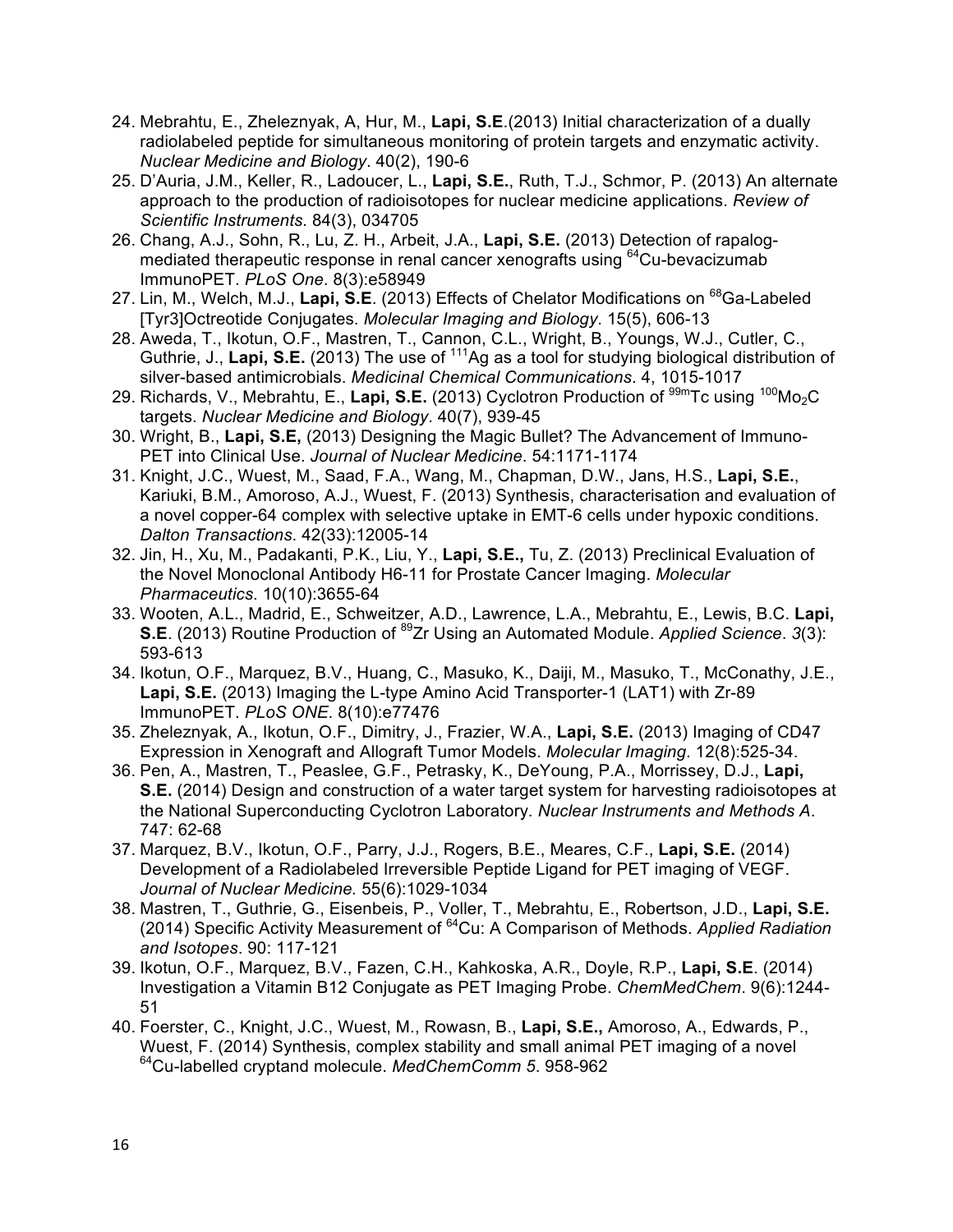- 24. Mebrahtu, E., Zheleznyak, A, Hur, M., **Lapi, S.E**.(2013) Initial characterization of a dually radiolabeled peptide for simultaneous monitoring of protein targets and enzymatic activity. *Nuclear Medicine and Biology*. 40(2), 190-6
- 25. D'Auria, J.M., Keller, R., Ladoucer, L., **Lapi, S.E.**, Ruth, T.J., Schmor, P. (2013) An alternate approach to the production of radioisotopes for nuclear medicine applications. *Review of Scientific Instruments*. 84(3), 034705
- 26. Chang, A.J., Sohn, R., Lu, Z. H., Arbeit, J.A., **Lapi, S.E.** (2013) Detection of rapalogmediated therapeutic response in renal cancer xenografts using <sup>64</sup>Cu-bevacizumab ImmunoPET. *PLoS One*. 8(3):e58949
- 27. Lin, M., Welch, M.J., Lapi, S.E. (2013) Effects of Chelator Modifications on <sup>68</sup>Ga-Labeled [Tyr3]Octreotide Conjugates. *Molecular Imaging and Biology*. 15(5), 606-13
- 28. Aweda, T., Ikotun, O.F., Mastren, T., Cannon, C.L., Wright, B., Youngs, W.J., Cutler, C., Guthrie, J., Lapi, S.E. (2013) The use of <sup>111</sup>Ag as a tool for studying biological distribution of silver-based antimicrobials. *Medicinal Chemical Communications*. 4, 1015-1017
- 29. Richards, V., Mebrahtu, E., Lapi, S.E. (2013) Cyclotron Production of <sup>99m</sup>Tc using <sup>100</sup>Mo<sub>2</sub>C targets. *Nuclear Medicine and Biology*. 40(7), 939-45
- 30. Wright, B., **Lapi, S.E,** (2013) Designing the Magic Bullet? The Advancement of Immuno-PET into Clinical Use. *Journal of Nuclear Medicine*. 54:1171-1174
- 31. Knight, J.C., Wuest, M., Saad, F.A., Wang, M., Chapman, D.W., Jans, H.S., **Lapi, S.E.**, Kariuki, B.M., Amoroso, A.J., Wuest, F. (2013) Synthesis, characterisation and evaluation of a novel copper-64 complex with selective uptake in EMT-6 cells under hypoxic conditions. *Dalton Transactions*. 42(33):12005-14
- 32. Jin, H., Xu, M., Padakanti, P.K., Liu, Y., **Lapi, S.E.,** Tu, Z. (2013) Preclinical Evaluation of the Novel Monoclonal Antibody H6-11 for Prostate Cancer Imaging. *Molecular Pharmaceutics*. 10(10):3655-64
- 33. Wooten, A.L., Madrid, E., Schweitzer, A.D., Lawrence, L.A., Mebrahtu, E., Lewis, B.C. **Lapi, S.E**. (2013) Routine Production of <sup>89</sup>Zr Using an Automated Module. *Applied Science*. 3(3): 593-613
- 34. Ikotun, O.F., Marquez, B.V., Huang, C., Masuko, K., Daiji, M., Masuko, T., McConathy, J.E., **Lapi, S.E.** (2013) Imaging the L-type Amino Acid Transporter-1 (LAT1) with Zr-89 ImmunoPET. *PLoS ONE*. 8(10):e77476
- 35. Zheleznyak, A., Ikotun, O.F., Dimitry, J., Frazier, W.A., **Lapi, S.E.** (2013) Imaging of CD47 Expression in Xenograft and Allograft Tumor Models. *Molecular Imaging*. 12(8):525-34.
- 36. Pen, A., Mastren, T., Peaslee, G.F., Petrasky, K., DeYoung, P.A., Morrissey, D.J., **Lapi, S.E.** (2014) Design and construction of a water target system for harvesting radioisotopes at the National Superconducting Cyclotron Laboratory. *Nuclear Instruments and Methods A*. 747: 62-68
- 37. Marquez, B.V., Ikotun, O.F., Parry, J.J., Rogers, B.E., Meares, C.F., **Lapi, S.E.** (2014) Development of a Radiolabeled Irreversible Peptide Ligand for PET imaging of VEGF. *Journal of Nuclear Medicine.* 55(6):1029-1034
- 38. Mastren, T., Guthrie, G., Eisenbeis, P., Voller, T., Mebrahtu, E., Robertson, J.D., **Lapi, S.E.** (2014) Specific Activity Measurement of 64Cu: A Comparison of Methods. *Applied Radiation and Isotopes*. 90: 117-121
- 39. Ikotun, O.F., Marquez, B.V., Fazen, C.H., Kahkoska, A.R., Doyle, R.P., **Lapi, S.E**. (2014) Investigation a Vitamin B12 Conjugate as PET Imaging Probe. *ChemMedChem*. 9(6):1244- 51
- 40. Foerster, C., Knight, J.C., Wuest, M., Rowasn, B., **Lapi, S.E.,** Amoroso, A., Edwards, P., Wuest, F. (2014) Synthesis, complex stability and small animal PET imaging of a novel 64Cu-labelled cryptand molecule. *MedChemComm 5*. 958-962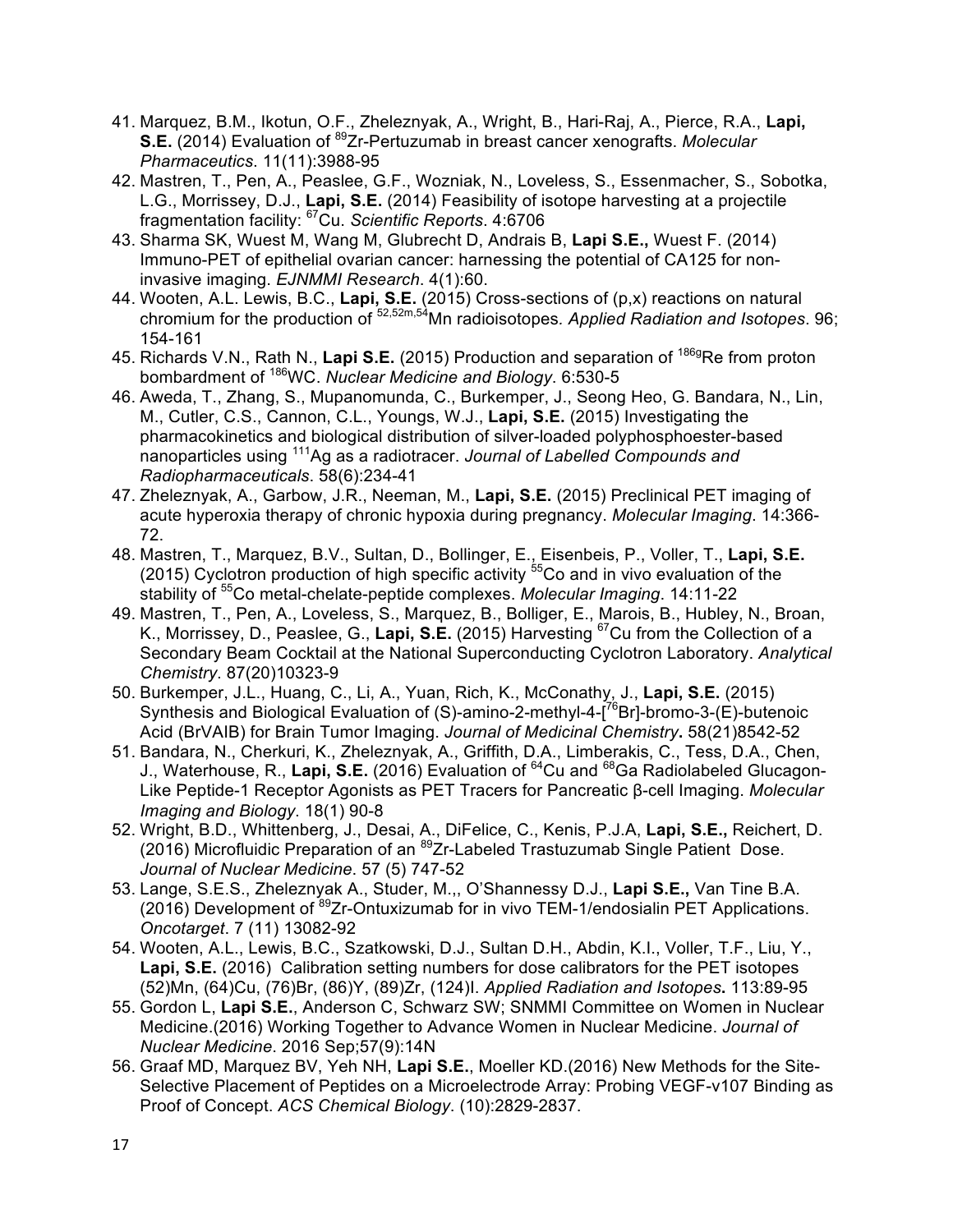- 41. Marquez, B.M., Ikotun, O.F., Zheleznyak, A., Wright, B., Hari-Raj, A., Pierce, R.A., **Lapi, S.E.** (2014) Evaluation of <sup>89</sup>Zr-Pertuzumab in breast cancer xenografts. *Molecular Pharmaceutics*. 11(11):3988-95
- 42. Mastren, T., Pen, A., Peaslee, G.F., Wozniak, N., Loveless, S., Essenmacher, S., Sobotka, L.G., Morrissey, D.J., **Lapi, S.E.** (2014) Feasibility of isotope harvesting at a projectile fragmentation facility: 67Cu. *Scientific Reports*. 4:6706
- 43. Sharma SK, Wuest M, Wang M, Glubrecht D, Andrais B, **Lapi S.E.,** Wuest F. (2014) Immuno-PET of epithelial ovarian cancer: harnessing the potential of CA125 for noninvasive imaging. *EJNMMI Research*. 4(1):60.
- 44. Wooten, A.L. Lewis, B.C., **Lapi, S.E.** (2015) Cross-sections of (p,x) reactions on natural chromium for the production of 52,52m,54Mn radioisotopes*. Applied Radiation and Isotopes*. 96; 154-161
- 45. Richards V.N., Rath N., **Lapi S.E.** (2015) Production and separation of 186gRe from proton bombardment of 186WC. *Nuclear Medicine and Biology*. 6:530-5
- 46. Aweda, T., Zhang, S., Mupanomunda, C., Burkemper, J., Seong Heo, G. Bandara, N., Lin, M., Cutler, C.S., Cannon, C.L., Youngs, W.J., **Lapi, S.E.** (2015) Investigating the pharmacokinetics and biological distribution of silver-loaded polyphosphoester-based nanoparticles using 111Ag as a radiotracer. *Journal of Labelled Compounds and Radiopharmaceuticals*. 58(6):234-41
- 47. Zheleznyak, A., Garbow, J.R., Neeman, M., **Lapi, S.E.** (2015) Preclinical PET imaging of acute hyperoxia therapy of chronic hypoxia during pregnancy. *Molecular Imaging*. 14:366- 72.
- 48. Mastren, T., Marquez, B.V., Sultan, D., Bollinger, E., Eisenbeis, P., Voller, T., **Lapi, S.E.** (2015) Cyclotron production of high specific activity  $55C$ o and in vivo evaluation of the stability of 55Co metal-chelate-peptide complexes. *Molecular Imaging*. 14:11-22
- 49. Mastren, T., Pen, A., Loveless, S., Marquez, B., Bolliger, E., Marois, B., Hubley, N., Broan, K., Morrissey, D., Peaslee, G., **Lapi, S.E.** (2015) Harvesting 67Cu from the Collection of a Secondary Beam Cocktail at the National Superconducting Cyclotron Laboratory. *Analytical Chemistry*. 87(20)10323-9
- 50. Burkemper, J.L., Huang, C., Li, A., Yuan, Rich, K., McConathy, J., **Lapi, S.E.** (2015) Synthesis and Biological Evaluation of (S)-amino-2-methyl-4-[<sup>76</sup>Br]-bromo-3-(E)-butenoic Acid (BrVAIB) for Brain Tumor Imaging. *Journal of Medicinal Chemistry***.** 58(21)8542-52
- 51. Bandara, N., Cherkuri, K., Zheleznyak, A., Griffith, D.A., Limberakis, C., Tess, D.A., Chen, J., Waterhouse, R., **Lapi, S.E.** (2016) Evaluation of 64Cu and 68Ga Radiolabeled Glucagon-Like Peptide-1 Receptor Agonists as PET Tracers for Pancreatic β-cell Imaging. *Molecular Imaging and Biology*. 18(1) 90-8
- 52. Wright, B.D., Whittenberg, J., Desai, A., DiFelice, C., Kenis, P.J.A, **Lapi, S.E.,** Reichert, D. (2016) Microfluidic Preparation of an <sup>89</sup>Zr-Labeled Trastuzumab Single Patient Dose. *Journal of Nuclear Medicine*. 57 (5) 747-52
- 53. Lange, S.E.S., Zheleznyak A., Studer, M.,, O'Shannessy D.J., **Lapi S.E.,** Van Tine B.A. (2016) Development of <sup>89</sup>Zr-Ontuxizumab for in vivo TEM-1/endosialin PET Applications. *Oncotarget*. 7 (11) 13082-92
- 54. Wooten, A.L., Lewis, B.C., Szatkowski, D.J., Sultan D.H., Abdin, K.I., Voller, T.F., Liu, Y., **Lapi, S.E.** (2016) Calibration setting numbers for dose calibrators for the PET isotopes (52)Mn, (64)Cu, (76)Br, (86)Y, (89)Zr, (124)I. *Applied Radiation and Isotopes***.** 113:89-95
- 55. Gordon L, **Lapi S.E.**, Anderson C, Schwarz SW; SNMMI Committee on Women in Nuclear Medicine.(2016) Working Together to Advance Women in Nuclear Medicine. *Journal of Nuclear Medicine*. 2016 Sep;57(9):14N
- 56. Graaf MD, Marquez BV, Yeh NH, **Lapi S.E.**, Moeller KD.(2016) New Methods for the Site-Selective Placement of Peptides on a Microelectrode Array: Probing VEGF-v107 Binding as Proof of Concept. *ACS Chemical Biology*. (10):2829-2837.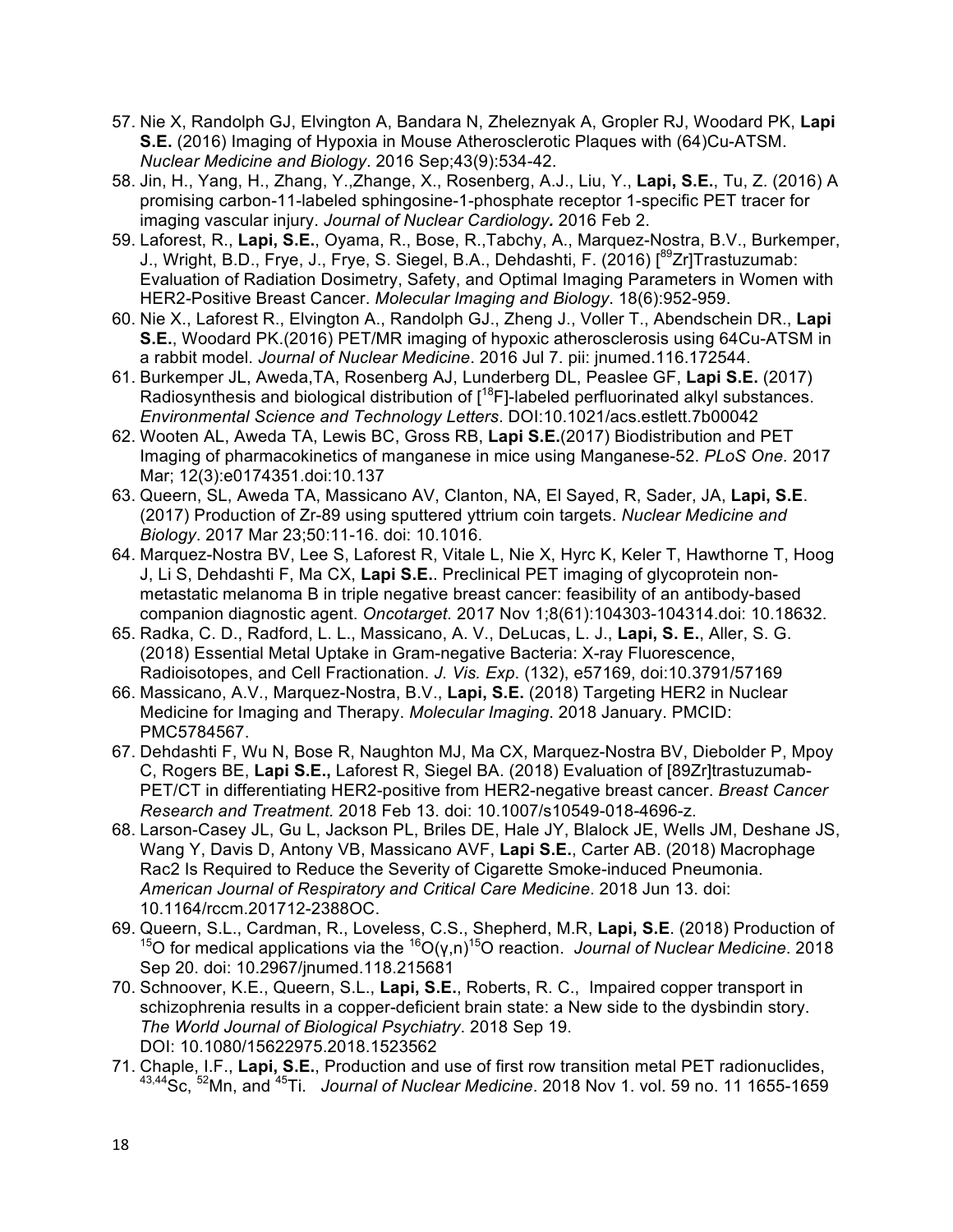- 57. Nie X, Randolph GJ, Elvington A, Bandara N, Zheleznyak A, Gropler RJ, Woodard PK, **Lapi S.E.** (2016) Imaging of Hypoxia in Mouse Atherosclerotic Plaques with (64)Cu-ATSM. *Nuclear Medicine and Biology*. 2016 Sep;43(9):534-42.
- 58. Jin, H., Yang, H., Zhang, Y.,Zhange, X., Rosenberg, A.J., Liu, Y., **Lapi, S.E.**, Tu, Z. (2016) A promising carbon-11-labeled sphingosine-1-phosphate receptor 1-specific PET tracer for imaging vascular injury. *Journal of Nuclear Cardiology.* 2016 Feb 2.
- 59. Laforest, R., **Lapi, S.E.**, Oyama, R., Bose, R.,Tabchy, A., Marquez-Nostra, B.V., Burkemper, J., Wright, B.D., Frye, J., Frye, S. Siegel, B.A., Dehdashti, F. (2016) [<sup>89</sup>Zr]Trastuzumab: Evaluation of Radiation Dosimetry, Safety, and Optimal Imaging Parameters in Women with HER2-Positive Breast Cancer. *Molecular Imaging and Biology*. 18(6):952-959.
- 60. Nie X., Laforest R., Elvington A., Randolph GJ., Zheng J., Voller T., Abendschein DR., **Lapi S.E.**, Woodard PK.(2016) PET/MR imaging of hypoxic atherosclerosis using 64Cu-ATSM in a rabbit model. *Journal of Nuclear Medicine*. 2016 Jul 7. pii: jnumed.116.172544.
- 61. Burkemper JL, Aweda,TA, Rosenberg AJ, Lunderberg DL, Peaslee GF, **Lapi S.E.** (2017) Radiosynthesis and biological distribution of  $1^{18}F$ ]-labeled perfluorinated alkyl substances. *Environmental Science and Technology Letters*. DOI:10.1021/acs.estlett.7b00042
- 62. Wooten AL, Aweda TA, Lewis BC, Gross RB, **Lapi S.E.**(2017) Biodistribution and PET Imaging of pharmacokinetics of manganese in mice using Manganese-52. *PLoS One.* 2017 Mar; 12(3):e0174351.doi:10.137
- 63. Queern, SL, Aweda TA, Massicano AV, Clanton, NA, El Sayed, R, Sader, JA, **Lapi, S.E**. (2017) Production of Zr-89 using sputtered yttrium coin targets. *Nuclear Medicine and Biology*. 2017 Mar 23;50:11-16. doi: 10.1016.
- 64. Marquez-Nostra BV, Lee S, Laforest R, Vitale L, Nie X, Hyrc K, Keler T, Hawthorne T, Hoog J, Li S, Dehdashti F, Ma CX, **Lapi S.E.**. Preclinical PET imaging of glycoprotein nonmetastatic melanoma B in triple negative breast cancer: feasibility of an antibody-based companion diagnostic agent. *Oncotarget.* 2017 Nov 1;8(61):104303-104314.doi: 10.18632.
- 65. Radka, C. D., Radford, L. L., Massicano, A. V., DeLucas, L. J., **Lapi, S. E.**, Aller, S. G. (2018) Essential Metal Uptake in Gram-negative Bacteria: X-ray Fluorescence, Radioisotopes, and Cell Fractionation. *J. Vis. Exp*. (132), e57169, doi:10.3791/57169
- 66. Massicano, A.V., Marquez-Nostra, B.V., **Lapi, S.E.** (2018) Targeting HER2 in Nuclear Medicine for Imaging and Therapy. *Molecular Imaging*. 2018 January. PMCID: PMC5784567.
- 67. Dehdashti F, Wu N, Bose R, Naughton MJ, Ma CX, Marquez-Nostra BV, Diebolder P, Mpoy C, Rogers BE, **Lapi S.E.,** Laforest R, Siegel BA. (2018) Evaluation of [89Zr]trastuzumab-PET/CT in differentiating HER2-positive from HER2-negative breast cancer. *Breast Cancer Research and Treatment.* 2018 Feb 13. doi: 10.1007/s10549-018-4696-z.
- 68. Larson-Casey JL, Gu L, Jackson PL, Briles DE, Hale JY, Blalock JE, Wells JM, Deshane JS, Wang Y, Davis D, Antony VB, Massicano AVF, **Lapi S.E.**, Carter AB. (2018) Macrophage Rac2 Is Required to Reduce the Severity of Cigarette Smoke-induced Pneumonia. *American Journal of Respiratory and Critical Care Medicine*. 2018 Jun 13. doi: 10.1164/rccm.201712-2388OC.
- 69. Queern, S.L., Cardman, R., Loveless, C.S., Shepherd, M.R, **Lapi, S.E**. (2018) Production of <sup>15</sup>O for medical applications via the <sup>16</sup>O(γ,n)<sup>15</sup>O reaction. *Journal of Nuclear Medicine*. 2018 Sep 20. doi: 10.2967/jnumed.118.215681
- 70. Schnoover, K.E., Queern, S.L., **Lapi, S.E.**, Roberts, R. C., Impaired copper transport in schizophrenia results in a copper-deficient brain state: a New side to the dysbindin story. *The World Journal of Biological Psychiatry*. 2018 Sep 19. DOI: 10.1080/15622975.2018.1523562
- 71. Chaple, I.F., **Lapi, S.E.**, Production and use of first row transition metal PET radionuclides, 43,44Sc, 52Mn, and 45Ti. *Journal of Nuclear Medicine*. 2018 Nov 1. vol. 59 no. 11 1655-1659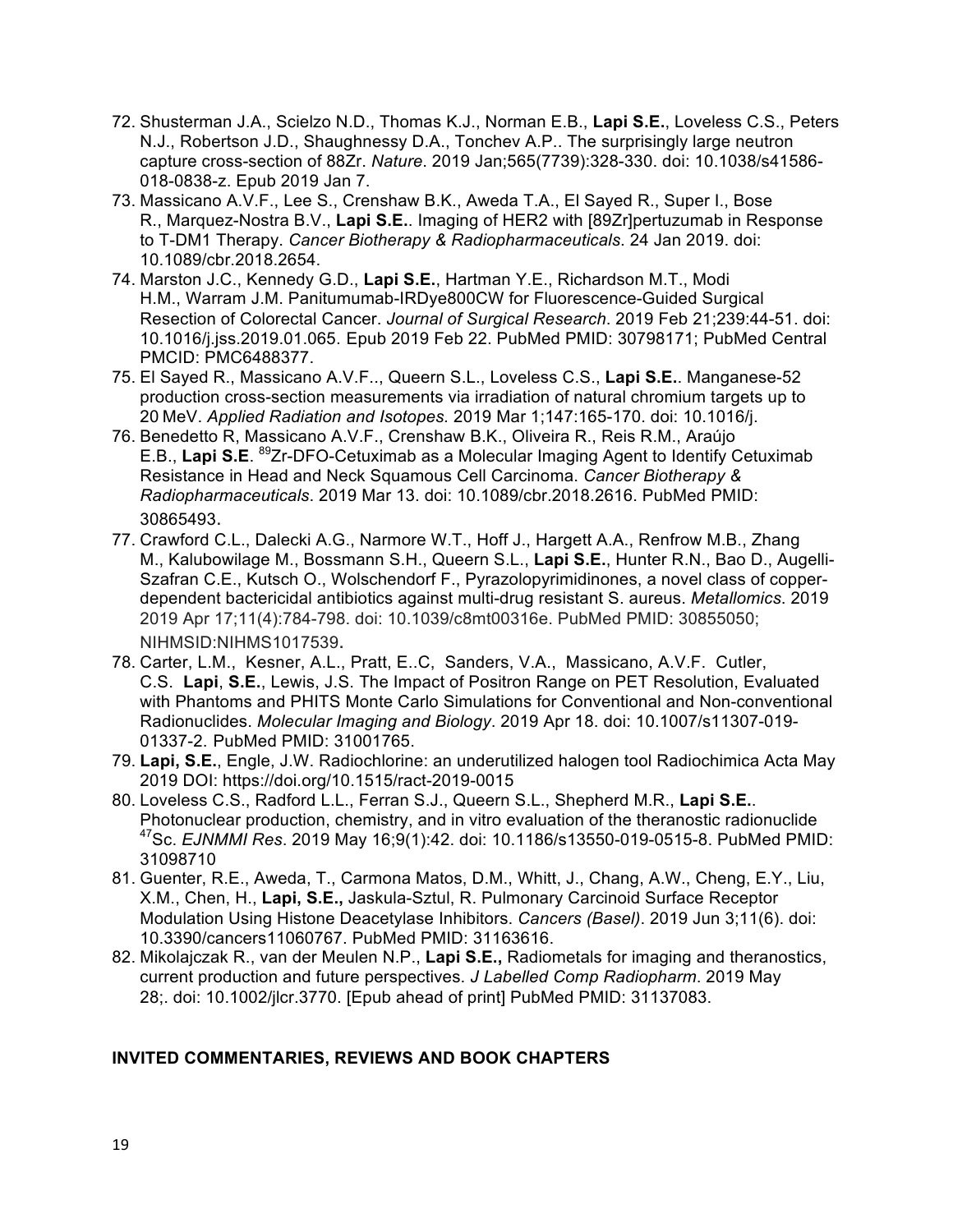- 72. Shusterman J.A., Scielzo N.D., Thomas K.J., Norman E.B., **Lapi S.E.**, Loveless C.S., Peters N.J., Robertson J.D., Shaughnessy D.A., Tonchev A.P.. The surprisingly large neutron capture cross-section of 88Zr. *Nature*. 2019 Jan;565(7739):328-330. doi: 10.1038/s41586- 018-0838-z. Epub 2019 Jan 7.
- 73. Massicano A.V.F., Lee S., Crenshaw B.K., Aweda T.A., El Sayed R., Super I., Bose R., Marquez-Nostra B.V., **Lapi S.E.**. Imaging of HER2 with [89Zr]pertuzumab in Response to T-DM1 Therapy. *Cancer Biotherapy & Radiopharmaceuticals*. 24 Jan 2019. doi: 10.1089/cbr.2018.2654.
- 74. Marston J.C., Kennedy G.D., **Lapi S.E.**, Hartman Y.E., Richardson M.T., Modi H.M., Warram J.M. Panitumumab-IRDye800CW for Fluorescence-Guided Surgical Resection of Colorectal Cancer. *Journal of Surgical Research*. 2019 Feb 21;239:44-51. doi: 10.1016/j.jss.2019.01.065. Epub 2019 Feb 22. PubMed PMID: 30798171; PubMed Central PMCID: PMC6488377.
- 75. El Sayed R., Massicano A.V.F.., Queern S.L., Loveless C.S., **Lapi S.E.**. Manganese-52 production cross-section measurements via irradiation of natural chromium targets up to 20 MeV. *Applied Radiation and Isotopes.* 2019 Mar 1;147:165-170. doi: 10.1016/j.
- 76. Benedetto R, Massicano A.V.F., Crenshaw B.K., Oliveira R., Reis R.M., Araújo E.B., **Lapi S.E**. 89Zr-DFO-Cetuximab as a Molecular Imaging Agent to Identify Cetuximab Resistance in Head and Neck Squamous Cell Carcinoma. *Cancer Biotherapy & Radiopharmaceuticals*. 2019 Mar 13. doi: 10.1089/cbr.2018.2616. PubMed PMID: 30865493.
- 77. Crawford C.L., Dalecki A.G., Narmore W.T., Hoff J., Hargett A.A., Renfrow M.B., Zhang M., Kalubowilage M., Bossmann S.H., Queern S.L., **Lapi S.E.**, Hunter R.N., Bao D., Augelli-Szafran C.E., Kutsch O., Wolschendorf F., Pyrazolopyrimidinones, a novel class of copperdependent bactericidal antibiotics against multi-drug resistant S. aureus. *Metallomics*. 2019 2019 Apr 17;11(4):784-798. doi: 10.1039/c8mt00316e. PubMed PMID: 30855050; NIHMSID:NIHMS1017539.
- 78. Carter, L.M., Kesner, A.L., Pratt, E..C, Sanders, V.A., Massicano, A.V.F. Cutler, C.S. **Lapi**, **S.E.**, Lewis, J.S. The Impact of Positron Range on PET Resolution, Evaluated with Phantoms and PHITS Monte Carlo Simulations for Conventional and Non-conventional Radionuclides. *Molecular Imaging and Biology*. 2019 Apr 18. doi: 10.1007/s11307-019- 01337-2. PubMed PMID: 31001765.
- 79. **Lapi, S.E.**, Engle, J.W. Radiochlorine: an underutilized halogen tool Radiochimica Acta May 2019 DOI: https://doi.org/10.1515/ract-2019-0015
- 80. Loveless C.S., Radford L.L., Ferran S.J., Queern S.L., Shepherd M.R., **Lapi S.E.**. Photonuclear production, chemistry, and in vitro evaluation of the theranostic radionuclide 47Sc. *EJNMMI Res*. 2019 May 16;9(1):42. doi: 10.1186/s13550-019-0515-8. PubMed PMID: 31098710
- 81. Guenter, R.E., Aweda, T., Carmona Matos, D.M., Whitt, J., Chang, A.W., Cheng, E.Y., Liu, X.M., Chen, H., **Lapi, S.E.,** Jaskula-Sztul, R. Pulmonary Carcinoid Surface Receptor Modulation Using Histone Deacetylase Inhibitors. *Cancers (Basel)*. 2019 Jun 3;11(6). doi: 10.3390/cancers11060767. PubMed PMID: 31163616.
- 82. Mikolajczak R., van der Meulen N.P., **Lapi S.E.,** Radiometals for imaging and theranostics, current production and future perspectives. *J Labelled Comp Radiopharm*. 2019 May 28;. doi: 10.1002/jlcr.3770. [Epub ahead of print] PubMed PMID: 31137083.

### **INVITED COMMENTARIES, REVIEWS AND BOOK CHAPTERS**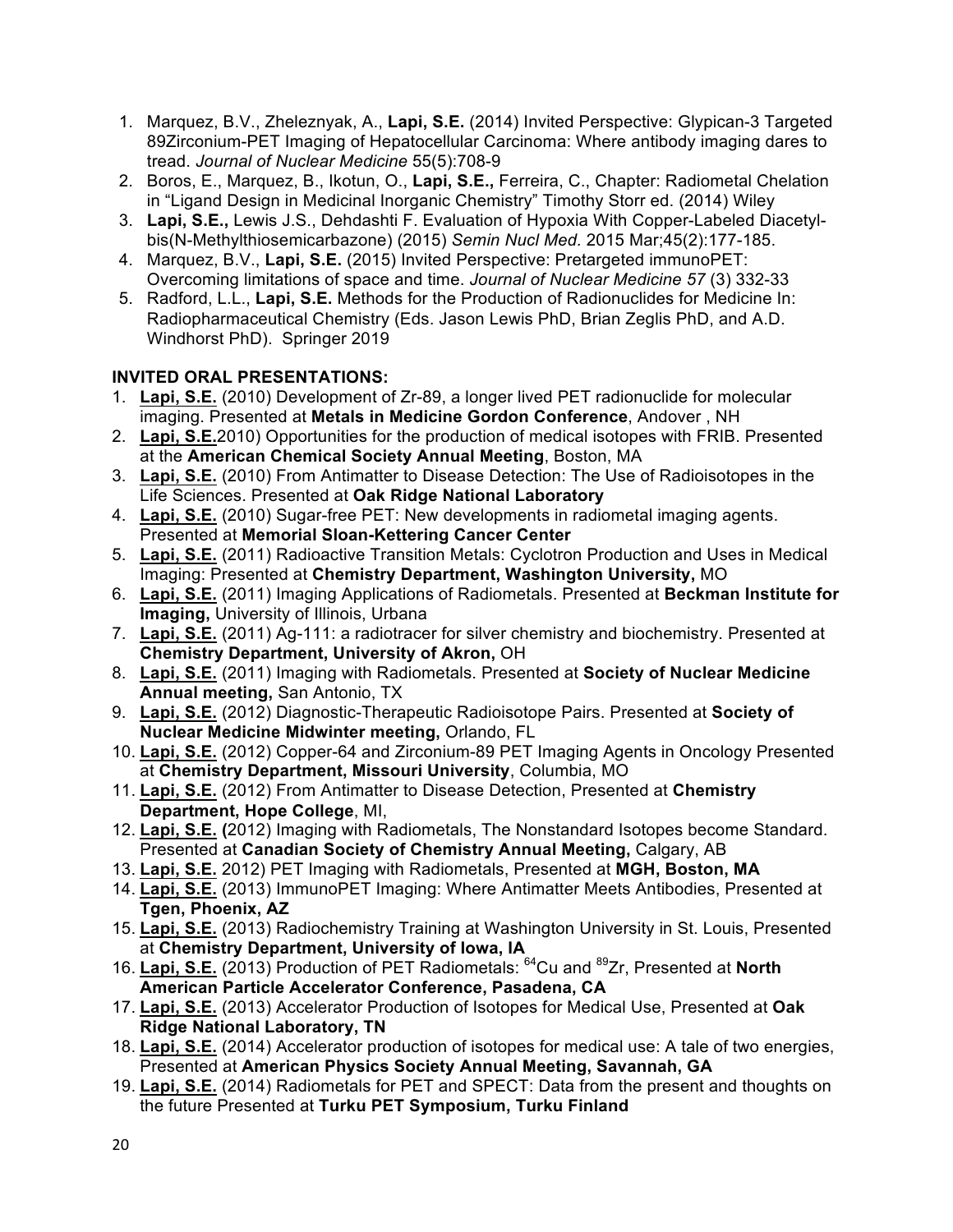- 1. Marquez, B.V., Zheleznyak, A., **Lapi, S.E.** (2014) Invited Perspective: Glypican-3 Targeted 89Zirconium-PET Imaging of Hepatocellular Carcinoma: Where antibody imaging dares to tread. *Journal of Nuclear Medicine* 55(5):708-9
- 2. Boros, E., Marquez, B., Ikotun, O., **Lapi, S.E.,** Ferreira, C., Chapter: Radiometal Chelation in "Ligand Design in Medicinal Inorganic Chemistry" Timothy Storr ed. (2014) Wiley
- 3. **Lapi, S.E.,** Lewis J.S., Dehdashti F. Evaluation of Hypoxia With Copper-Labeled Diacetylbis(N-Methylthiosemicarbazone) (2015) *Semin Nucl Med.* 2015 Mar;45(2):177-185.
- 4. Marquez, B.V., **Lapi, S.E.** (2015) Invited Perspective: Pretargeted immunoPET: Overcoming limitations of space and time. *Journal of Nuclear Medicine 57* (3) 332-33
- 5. Radford, L.L., **Lapi, S.E.** Methods for the Production of Radionuclides for Medicine In: Radiopharmaceutical Chemistry (Eds. Jason Lewis PhD, Brian Zeglis PhD, and A.D. Windhorst PhD). Springer 2019

## **INVITED ORAL PRESENTATIONS:**

- 1. **Lapi, S.E.** (2010) Development of Zr-89, a longer lived PET radionuclide for molecular imaging. Presented at **Metals in Medicine Gordon Conference**, Andover , NH
- 2. **Lapi, S.E.**2010) Opportunities for the production of medical isotopes with FRIB. Presented at the **American Chemical Society Annual Meeting**, Boston, MA
- 3. **Lapi, S.E.** (2010) From Antimatter to Disease Detection: The Use of Radioisotopes in the Life Sciences. Presented at **Oak Ridge National Laboratory**
- 4. **Lapi, S.E.** (2010) Sugar-free PET: New developments in radiometal imaging agents. Presented at **Memorial Sloan-Kettering Cancer Center**
- 5. **Lapi, S.E.** (2011) Radioactive Transition Metals: Cyclotron Production and Uses in Medical Imaging: Presented at **Chemistry Department, Washington University,** MO
- 6. **Lapi, S.E.** (2011) Imaging Applications of Radiometals. Presented at **Beckman Institute for Imaging,** University of Illinois, Urbana
- 7. **Lapi, S.E.** (2011) Ag-111: a radiotracer for silver chemistry and biochemistry. Presented at **Chemistry Department, University of Akron,** OH
- 8. **Lapi, S.E.** (2011) Imaging with Radiometals. Presented at **Society of Nuclear Medicine Annual meeting,** San Antonio, TX
- 9. **Lapi, S.E.** (2012) Diagnostic-Therapeutic Radioisotope Pairs. Presented at **Society of Nuclear Medicine Midwinter meeting,** Orlando, FL
- 10. **Lapi, S.E.** (2012) Copper-64 and Zirconium-89 PET Imaging Agents in Oncology Presented at **Chemistry Department, Missouri University**, Columbia, MO
- 11. **Lapi, S.E.** (2012) From Antimatter to Disease Detection, Presented at **Chemistry Department, Hope College**, MI,
- 12. **Lapi, S.E. (**2012) Imaging with Radiometals, The Nonstandard Isotopes become Standard. Presented at **Canadian Society of Chemistry Annual Meeting,** Calgary, AB
- 13. **Lapi, S.E.** 2012) PET Imaging with Radiometals, Presented at **MGH, Boston, MA**
- 14. **Lapi, S.E.** (2013) ImmunoPET Imaging: Where Antimatter Meets Antibodies, Presented at **Tgen, Phoenix, AZ**
- 15. **Lapi, S.E.** (2013) Radiochemistry Training at Washington University in St. Louis, Presented at **Chemistry Department, University of Iowa, IA**
- 16. **Lapi, S.E.** (2013) Production of PET Radiometals: 64Cu and 89Zr, Presented at **North American Particle Accelerator Conference, Pasadena, CA**
- 17. **Lapi, S.E.** (2013) Accelerator Production of Isotopes for Medical Use, Presented at **Oak Ridge National Laboratory, TN**
- 18. **Lapi, S.E.** (2014) Accelerator production of isotopes for medical use: A tale of two energies, Presented at **American Physics Society Annual Meeting, Savannah, GA**
- 19. **Lapi, S.E.** (2014) Radiometals for PET and SPECT: Data from the present and thoughts on the future Presented at **Turku PET Symposium, Turku Finland**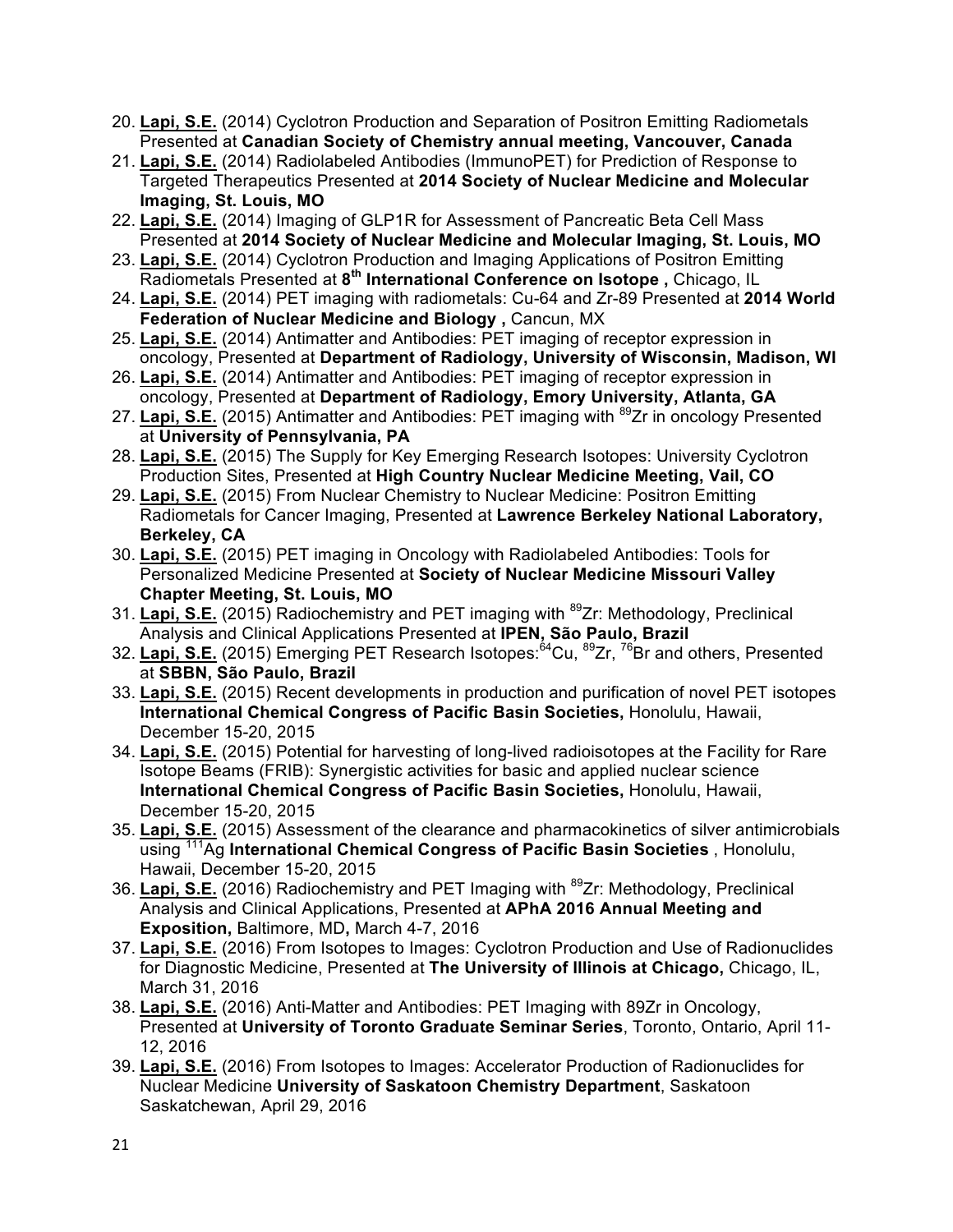- 20. **Lapi, S.E.** (2014) Cyclotron Production and Separation of Positron Emitting Radiometals Presented at **Canadian Society of Chemistry annual meeting, Vancouver, Canada**
- 21. **Lapi, S.E.** (2014) Radiolabeled Antibodies (ImmunoPET) for Prediction of Response to Targeted Therapeutics Presented at **2014 Society of Nuclear Medicine and Molecular Imaging, St. Louis, MO**
- 22. **Lapi, S.E.** (2014) Imaging of GLP1R for Assessment of Pancreatic Beta Cell Mass Presented at **2014 Society of Nuclear Medicine and Molecular Imaging, St. Louis, MO**
- 23. **Lapi, S.E.** (2014) Cyclotron Production and Imaging Applications of Positron Emitting Radiometals Presented at **8th International Conference on Isotope ,** Chicago, IL
- 24. **Lapi, S.E.** (2014) PET imaging with radiometals: Cu-64 and Zr-89 Presented at **2014 World Federation of Nuclear Medicine and Biology ,** Cancun, MX
- 25. **Lapi, S.E.** (2014) Antimatter and Antibodies: PET imaging of receptor expression in oncology, Presented at **Department of Radiology, University of Wisconsin, Madison, WI**
- 26. **Lapi, S.E.** (2014) Antimatter and Antibodies: PET imaging of receptor expression in oncology, Presented at **Department of Radiology, Emory University, Atlanta, GA**
- 27. Lapi, S.E. (2015) Antimatter and Antibodies: PET imaging with <sup>89</sup>Zr in oncology Presented at **University of Pennsylvania, PA**
- 28. **Lapi, S.E.** (2015) The Supply for Key Emerging Research Isotopes: University Cyclotron Production Sites, Presented at **High Country Nuclear Medicine Meeting, Vail, CO**
- 29. **Lapi, S.E.** (2015) From Nuclear Chemistry to Nuclear Medicine: Positron Emitting Radiometals for Cancer Imaging, Presented at **Lawrence Berkeley National Laboratory, Berkeley, CA**
- 30. **Lapi, S.E.** (2015) PET imaging in Oncology with Radiolabeled Antibodies: Tools for Personalized Medicine Presented at **Society of Nuclear Medicine Missouri Valley Chapter Meeting, St. Louis, MO**
- 31. **Lapi, S.E.** (2015) Radiochemistry and PET imaging with 89Zr: Methodology, Preclinical Analysis and Clinical Applications Presented at **IPEN, São Paulo, Brazil**
- 32. Lapi, S.E. (2015) Emerging PET Research Isotopes:<sup>64</sup>Cu, <sup>89</sup>Zr, <sup>76</sup>Br and others, Presented at **SBBN, São Paulo, Brazil**
- 33. **Lapi, S.E.** (2015) Recent developments in production and purification of novel PET isotopes **International Chemical Congress of Pacific Basin Societies,** Honolulu, Hawaii, December 15-20, 2015
- 34. **Lapi, S.E.** (2015) Potential for harvesting of long-lived radioisotopes at the Facility for Rare Isotope Beams (FRIB): Synergistic activities for basic and applied nuclear science **International Chemical Congress of Pacific Basin Societies,** Honolulu, Hawaii, December 15-20, 2015
- 35. **Lapi, S.E.** (2015) Assessment of the clearance and pharmacokinetics of silver antimicrobials using 111Ag **International Chemical Congress of Pacific Basin Societies** , Honolulu, Hawaii, December 15-20, 2015
- 36. Lapi, S.E. (2016) Radiochemistry and PET Imaging with <sup>89</sup>Zr: Methodology, Preclinical Analysis and Clinical Applications, Presented at **APhA 2016 Annual Meeting and Exposition,** Baltimore, MD**,** March 4-7, 2016
- 37. **Lapi, S.E.** (2016) From Isotopes to Images: Cyclotron Production and Use of Radionuclides for Diagnostic Medicine, Presented at **The University of Illinois at Chicago,** Chicago, IL, March 31, 2016
- 38. **Lapi, S.E.** (2016) Anti-Matter and Antibodies: PET Imaging with 89Zr in Oncology, Presented at **University of Toronto Graduate Seminar Series**, Toronto, Ontario, April 11- 12, 2016
- 39. **Lapi, S.E.** (2016) From Isotopes to Images: Accelerator Production of Radionuclides for Nuclear Medicine **University of Saskatoon Chemistry Department**, Saskatoon Saskatchewan, April 29, 2016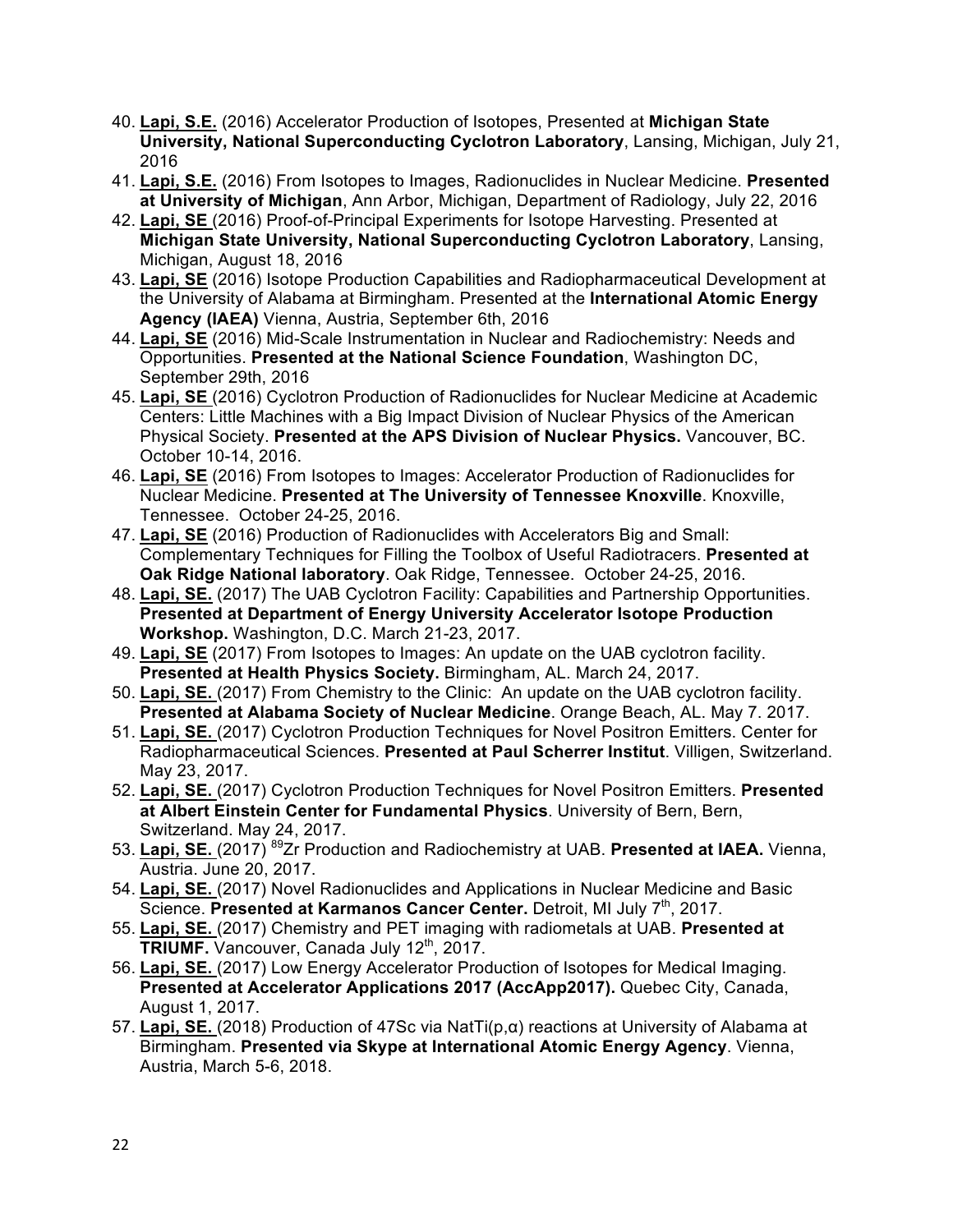- 40. **Lapi, S.E.** (2016) Accelerator Production of Isotopes, Presented at **Michigan State University, National Superconducting Cyclotron Laboratory**, Lansing, Michigan, July 21, 2016
- 41. **Lapi, S.E.** (2016) From Isotopes to Images, Radionuclides in Nuclear Medicine. **Presented at University of Michigan**, Ann Arbor, Michigan, Department of Radiology, July 22, 2016
- 42. **Lapi, SE** (2016) Proof-of-Principal Experiments for Isotope Harvesting. Presented at **Michigan State University, National Superconducting Cyclotron Laboratory**, Lansing, Michigan, August 18, 2016
- 43. **Lapi, SE** (2016) Isotope Production Capabilities and Radiopharmaceutical Development at the University of Alabama at Birmingham. Presented at the **International Atomic Energy Agency (IAEA)** Vienna, Austria, September 6th, 2016
- 44. **Lapi, SE** (2016) Mid-Scale Instrumentation in Nuclear and Radiochemistry: Needs and Opportunities. **Presented at the National Science Foundation**, Washington DC, September 29th, 2016
- 45. **Lapi, SE** (2016) Cyclotron Production of Radionuclides for Nuclear Medicine at Academic Centers: Little Machines with a Big Impact Division of Nuclear Physics of the American Physical Society. **Presented at the APS Division of Nuclear Physics.** Vancouver, BC. October 10-14, 2016.
- 46. **Lapi, SE** (2016) From Isotopes to Images: Accelerator Production of Radionuclides for Nuclear Medicine. **Presented at The University of Tennessee Knoxville**. Knoxville, Tennessee. October 24-25, 2016.
- 47. **Lapi, SE** (2016) Production of Radionuclides with Accelerators Big and Small: Complementary Techniques for Filling the Toolbox of Useful Radiotracers. **Presented at Oak Ridge National laboratory**. Oak Ridge, Tennessee. October 24-25, 2016.
- 48. **Lapi, SE.** (2017) The UAB Cyclotron Facility: Capabilities and Partnership Opportunities. **Presented at Department of Energy University Accelerator Isotope Production Workshop.** Washington, D.C. March 21-23, 2017.
- 49. **Lapi, SE** (2017) From Isotopes to Images: An update on the UAB cyclotron facility. **Presented at Health Physics Society.** Birmingham, AL. March 24, 2017.
- 50. **Lapi, SE.** (2017) From Chemistry to the Clinic: An update on the UAB cyclotron facility. **Presented at Alabama Society of Nuclear Medicine**. Orange Beach, AL. May 7. 2017.
- 51. **Lapi, SE.** (2017) Cyclotron Production Techniques for Novel Positron Emitters. Center for Radiopharmaceutical Sciences. **Presented at Paul Scherrer Institut**. Villigen, Switzerland. May 23, 2017.
- 52. **Lapi, SE.** (2017) Cyclotron Production Techniques for Novel Positron Emitters. **Presented at Albert Einstein Center for Fundamental Physics**. University of Bern, Bern, Switzerland. May 24, 2017.
- 53. **Lapi, SE.** (2017) 89Zr Production and Radiochemistry at UAB. **Presented at IAEA.** Vienna, Austria. June 20, 2017.
- 54. **Lapi, SE.** (2017) Novel Radionuclides and Applications in Nuclear Medicine and Basic Science. **Presented at Karmanos Cancer Center.** Detroit, MI July 7<sup>th</sup>, 2017.
- 55. **Lapi, SE.** (2017) Chemistry and PET imaging with radiometals at UAB. **Presented at TRIUMF.** Vancouver, Canada July 12<sup>th</sup>, 2017.
- 56. **Lapi, SE.** (2017) Low Energy Accelerator Production of Isotopes for Medical Imaging. **Presented at Accelerator Applications 2017 (AccApp2017).** Quebec City, Canada, August 1, 2017.
- 57. **Lapi, SE.** (2018) Production of 47Sc via NatTi(p,α) reactions at University of Alabama at Birmingham. **Presented via Skype at International Atomic Energy Agency**. Vienna, Austria, March 5-6, 2018.